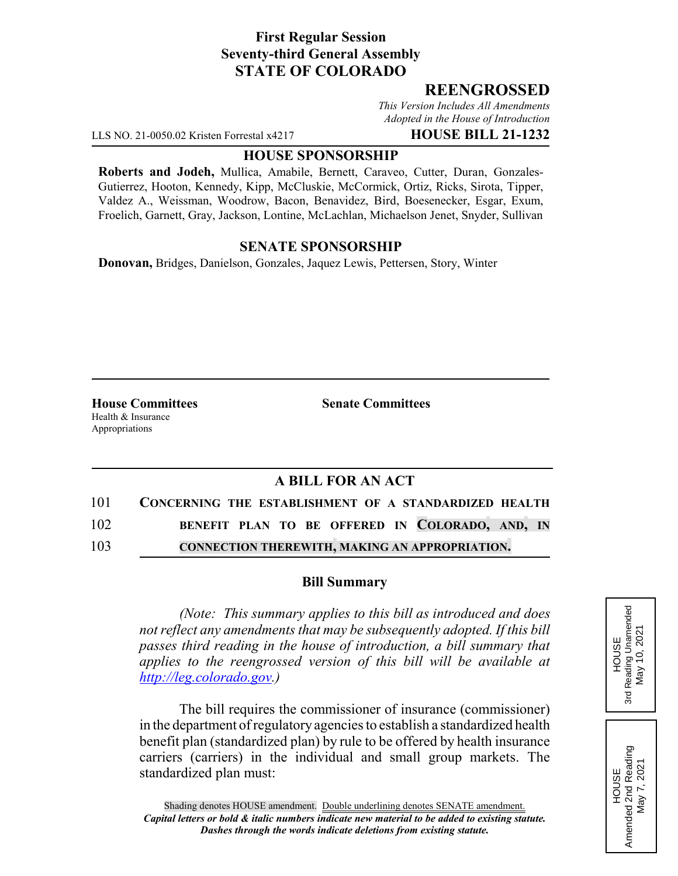## **First Regular Session Seventy-third General Assembly STATE OF COLORADO**

# **REENGROSSED**

*This Version Includes All Amendments Adopted in the House of Introduction*

LLS NO. 21-0050.02 Kristen Forrestal x4217 **HOUSE BILL 21-1232**

### **HOUSE SPONSORSHIP**

**Roberts and Jodeh,** Mullica, Amabile, Bernett, Caraveo, Cutter, Duran, Gonzales-Gutierrez, Hooton, Kennedy, Kipp, McCluskie, McCormick, Ortiz, Ricks, Sirota, Tipper, Valdez A., Weissman, Woodrow, Bacon, Benavidez, Bird, Boesenecker, Esgar, Exum, Froelich, Garnett, Gray, Jackson, Lontine, McLachlan, Michaelson Jenet, Snyder, Sullivan

### **SENATE SPONSORSHIP**

**Donovan,** Bridges, Danielson, Gonzales, Jaquez Lewis, Pettersen, Story, Winter

Health & Insurance Appropriations

**House Committees Senate Committees**

## **A BILL FOR AN ACT**

| 101 | CONCERNING THE ESTABLISHMENT OF A STANDARDIZED HEALTH |
|-----|-------------------------------------------------------|
| 102 | BENEFIT PLAN TO BE OFFERED IN COLORADO, AND, IN       |
| 103 | <b>CONNECTION THEREWITH, MAKING AN APPROPRIATION.</b> |

#### **Bill Summary**

*(Note: This summary applies to this bill as introduced and does not reflect any amendments that may be subsequently adopted. If this bill passes third reading in the house of introduction, a bill summary that applies to the reengrossed version of this bill will be available at http://leg.colorado.gov.)*

The bill requires the commissioner of insurance (commissioner) in the department of regulatory agencies to establish a standardized health benefit plan (standardized plan) by rule to be offered by health insurance carriers (carriers) in the individual and small group markets. The standardized plan must:

Reading Unamended 3rd Reading Unamended May 10, 2021 May 10, 2021 **HOUSE** 3rd

HOUSE Amended 2nd Reading May 7, 2021

Amended 2nd Reading<br>May 7, 2021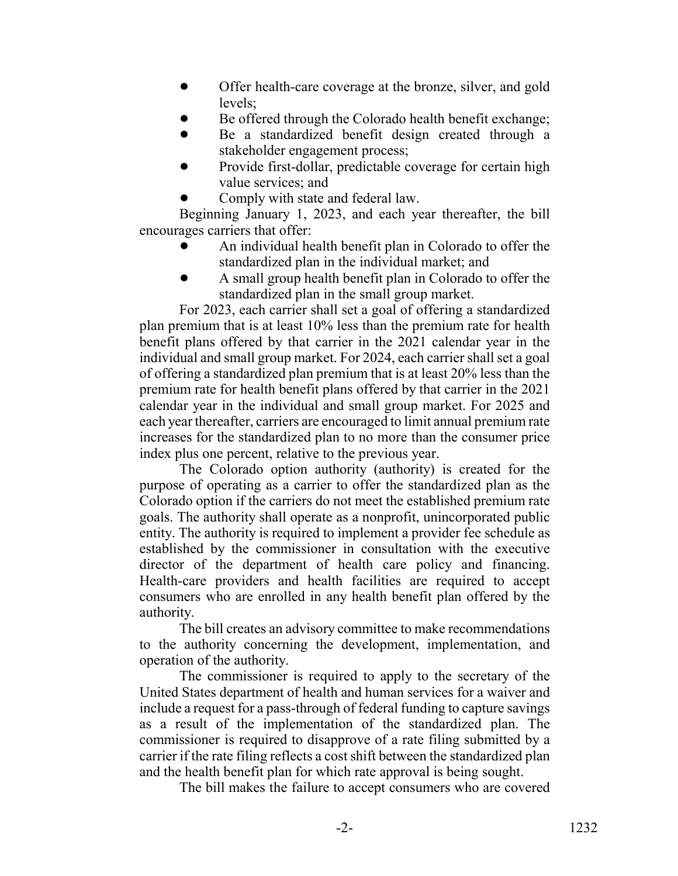- ! Offer health-care coverage at the bronze, silver, and gold levels;
- ! Be offered through the Colorado health benefit exchange;
- ! Be a standardized benefit design created through a stakeholder engagement process;
- Provide first-dollar, predictable coverage for certain high value services; and
	- Comply with state and federal law.

Beginning January 1, 2023, and each year thereafter, the bill encourages carriers that offer:

- ! An individual health benefit plan in Colorado to offer the standardized plan in the individual market; and
- ! A small group health benefit plan in Colorado to offer the standardized plan in the small group market.

For 2023, each carrier shall set a goal of offering a standardized plan premium that is at least 10% less than the premium rate for health benefit plans offered by that carrier in the 2021 calendar year in the individual and small group market. For 2024, each carrier shall set a goal of offering a standardized plan premium that is at least 20% less than the premium rate for health benefit plans offered by that carrier in the 2021 calendar year in the individual and small group market. For 2025 and each year thereafter, carriers are encouraged to limit annual premium rate increases for the standardized plan to no more than the consumer price index plus one percent, relative to the previous year.

The Colorado option authority (authority) is created for the purpose of operating as a carrier to offer the standardized plan as the Colorado option if the carriers do not meet the established premium rate goals. The authority shall operate as a nonprofit, unincorporated public entity. The authority is required to implement a provider fee schedule as established by the commissioner in consultation with the executive director of the department of health care policy and financing. Health-care providers and health facilities are required to accept consumers who are enrolled in any health benefit plan offered by the authority.

The bill creates an advisory committee to make recommendations to the authority concerning the development, implementation, and operation of the authority.

The commissioner is required to apply to the secretary of the United States department of health and human services for a waiver and include a request for a pass-through of federal funding to capture savings as a result of the implementation of the standardized plan. The commissioner is required to disapprove of a rate filing submitted by a carrier if the rate filing reflects a cost shift between the standardized plan and the health benefit plan for which rate approval is being sought.

The bill makes the failure to accept consumers who are covered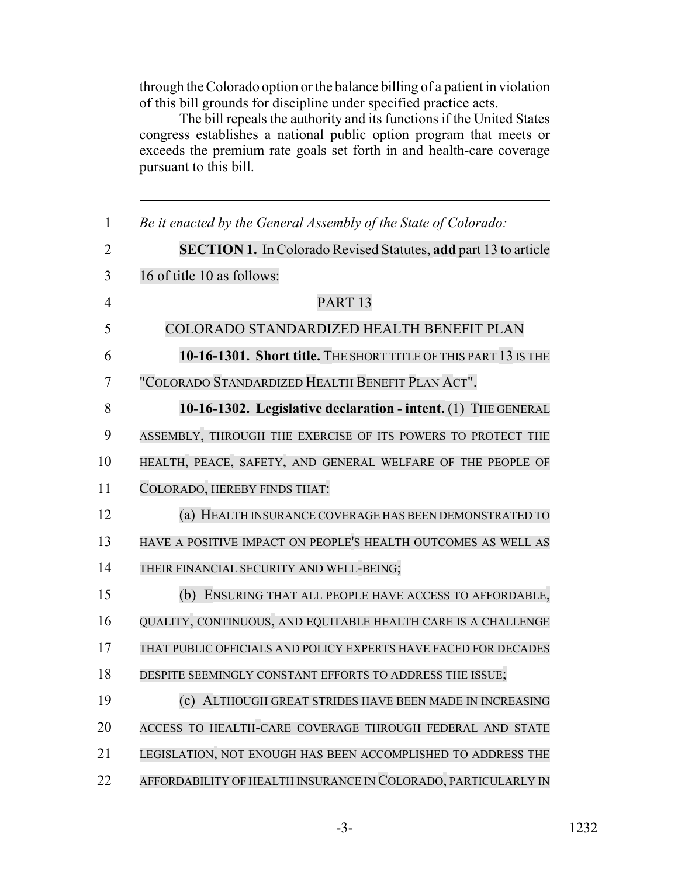through the Colorado option or the balance billing of a patient in violation of this bill grounds for discipline under specified practice acts.

The bill repeals the authority and its functions if the United States congress establishes a national public option program that meets or exceeds the premium rate goals set forth in and health-care coverage pursuant to this bill.

| $\mathbf{1}$   | Be it enacted by the General Assembly of the State of Colorado:        |
|----------------|------------------------------------------------------------------------|
| $\overline{2}$ | <b>SECTION 1.</b> In Colorado Revised Statutes, add part 13 to article |
| $\overline{3}$ | 16 of title 10 as follows:                                             |
| $\overline{4}$ | PART <sub>13</sub>                                                     |
| 5              | COLORADO STANDARDIZED HEALTH BENEFIT PLAN                              |
| 6              | 10-16-1301. Short title. THE SHORT TITLE OF THIS PART 13 IS THE        |
| $\tau$         | "COLORADO STANDARDIZED HEALTH BENEFIT PLAN ACT".                       |
| 8              | 10-16-1302. Legislative declaration - intent. (1) THE GENERAL          |
| 9              | ASSEMBLY, THROUGH THE EXERCISE OF ITS POWERS TO PROTECT THE            |
| 10             | HEALTH, PEACE, SAFETY, AND GENERAL WELFARE OF THE PEOPLE OF            |
| 11             | COLORADO, HEREBY FINDS THAT:                                           |
| 12             | (a) HEALTH INSURANCE COVERAGE HAS BEEN DEMONSTRATED TO                 |
| 13             | HAVE A POSITIVE IMPACT ON PEOPLE'S HEALTH OUTCOMES AS WELL AS          |
| 14             | THEIR FINANCIAL SECURITY AND WELL-BEING;                               |
| 15             | (b) ENSURING THAT ALL PEOPLE HAVE ACCESS TO AFFORDABLE,                |
| 16             | QUALITY, CONTINUOUS, AND EQUITABLE HEALTH CARE IS A CHALLENGE          |
| 17             | THAT PUBLIC OFFICIALS AND POLICY EXPERTS HAVE FACED FOR DECADES        |
| 18             | DESPITE SEEMINGLY CONSTANT EFFORTS TO ADDRESS THE ISSUE;               |
| 19             | (c) ALTHOUGH GREAT STRIDES HAVE BEEN MADE IN INCREASING                |
| 20             | ACCESS TO HEALTH-CARE COVERAGE THROUGH FEDERAL AND STATE               |
| 21             | LEGISLATION, NOT ENOUGH HAS BEEN ACCOMPLISHED TO ADDRESS THE           |
| 22             | AFFORDABILITY OF HEALTH INSURANCE IN COLORADO, PARTICULARLY IN         |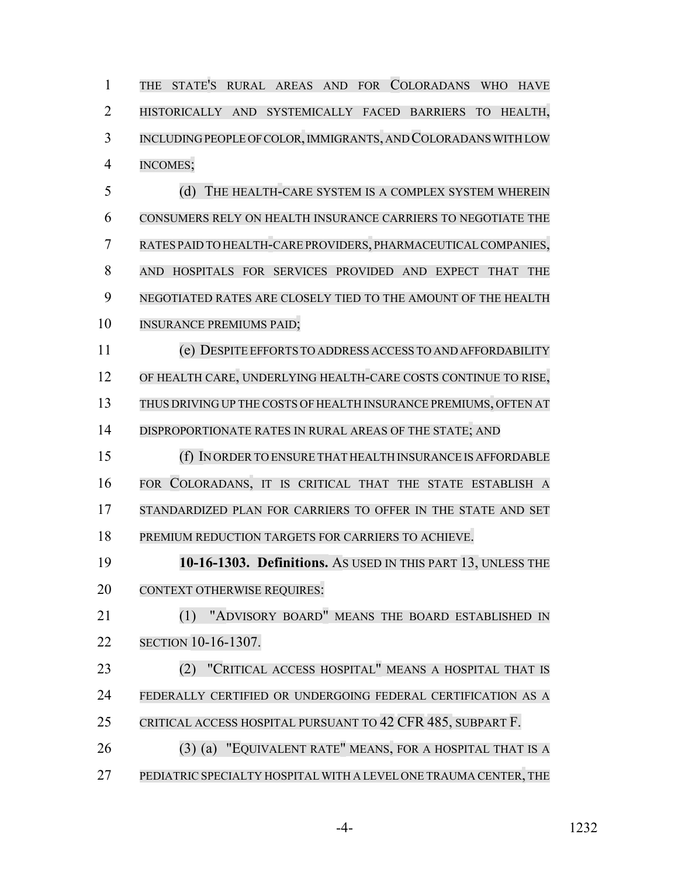THE STATE'S RURAL AREAS AND FOR COLORADANS WHO HAVE HISTORICALLY AND SYSTEMICALLY FACED BARRIERS TO HEALTH, INCLUDING PEOPLE OF COLOR, IMMIGRANTS, AND COLORADANSWITH LOW INCOMES;

 (d) THE HEALTH-CARE SYSTEM IS A COMPLEX SYSTEM WHEREIN CONSUMERS RELY ON HEALTH INSURANCE CARRIERS TO NEGOTIATE THE RATES PAID TO HEALTH-CARE PROVIDERS, PHARMACEUTICALCOMPANIES, AND HOSPITALS FOR SERVICES PROVIDED AND EXPECT THAT THE NEGOTIATED RATES ARE CLOSELY TIED TO THE AMOUNT OF THE HEALTH INSURANCE PREMIUMS PAID;

 (e) DESPITE EFFORTS TO ADDRESS ACCESS TO AND AFFORDABILITY OF HEALTH CARE, UNDERLYING HEALTH-CARE COSTS CONTINUE TO RISE, THUS DRIVING UP THE COSTS OF HEALTH INSURANCE PREMIUMS, OFTEN AT DISPROPORTIONATE RATES IN RURAL AREAS OF THE STATE; AND

 (f) IN ORDER TO ENSURE THAT HEALTH INSURANCE IS AFFORDABLE FOR COLORADANS, IT IS CRITICAL THAT THE STATE ESTABLISH A 17 STANDARDIZED PLAN FOR CARRIERS TO OFFER IN THE STATE AND SET

PREMIUM REDUCTION TARGETS FOR CARRIERS TO ACHIEVE.

 **10-16-1303. Definitions.** AS USED IN THIS PART 13, UNLESS THE 20 CONTEXT OTHERWISE REQUIRES:

 (1) "ADVISORY BOARD" MEANS THE BOARD ESTABLISHED IN SECTION 10-16-1307.

 (2) "CRITICAL ACCESS HOSPITAL" MEANS A HOSPITAL THAT IS FEDERALLY CERTIFIED OR UNDERGOING FEDERAL CERTIFICATION AS A CRITICAL ACCESS HOSPITAL PURSUANT TO 42 CFR 485, SUBPART F.

 (3) (a) "EQUIVALENT RATE" MEANS, FOR A HOSPITAL THAT IS A 27 PEDIATRIC SPECIALTY HOSPITAL WITH A LEVEL ONE TRAUMA CENTER, THE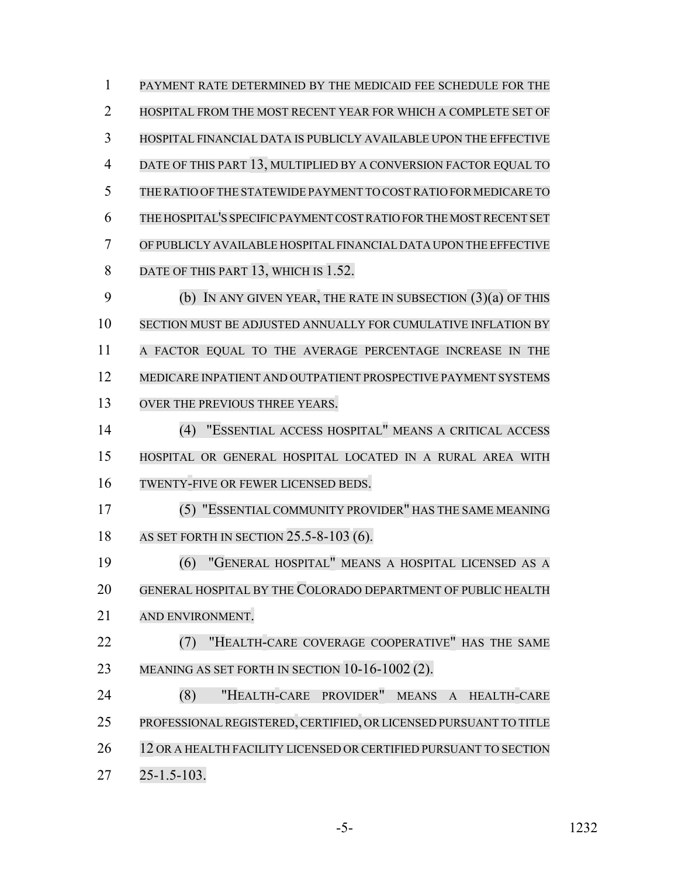PAYMENT RATE DETERMINED BY THE MEDICAID FEE SCHEDULE FOR THE HOSPITAL FROM THE MOST RECENT YEAR FOR WHICH A COMPLETE SET OF HOSPITAL FINANCIAL DATA IS PUBLICLY AVAILABLE UPON THE EFFECTIVE DATE OF THIS PART 13, MULTIPLIED BY A CONVERSION FACTOR EQUAL TO THE RATIO OF THE STATEWIDE PAYMENT TO COSTRATIO FORMEDICARE TO THE HOSPITAL'S SPECIFIC PAYMENT COST RATIO FOR THE MOST RECENT SET OF PUBLICLY AVAILABLE HOSPITALFINANCIAL DATA UPON THE EFFECTIVE 8 DATE OF THIS PART 13, WHICH IS 1.52. (b) IN ANY GIVEN YEAR, THE RATE IN SUBSECTION (3)(a) OF THIS SECTION MUST BE ADJUSTED ANNUALLY FOR CUMULATIVE INFLATION BY A FACTOR EQUAL TO THE AVERAGE PERCENTAGE INCREASE IN THE MEDICARE INPATIENT AND OUTPATIENT PROSPECTIVE PAYMENT SYSTEMS 13 OVER THE PREVIOUS THREE YEARS. (4) "ESSENTIAL ACCESS HOSPITAL" MEANS A CRITICAL ACCESS HOSPITAL OR GENERAL HOSPITAL LOCATED IN A RURAL AREA WITH TWENTY-FIVE OR FEWER LICENSED BEDS. (5) "ESSENTIAL COMMUNITY PROVIDER" HAS THE SAME MEANING AS SET FORTH IN SECTION 25.5-8-103 (6). (6) "GENERAL HOSPITAL" MEANS A HOSPITAL LICENSED AS A GENERAL HOSPITAL BY THE COLORADO DEPARTMENT OF PUBLIC HEALTH AND ENVIRONMENT. (7) "HEALTH-CARE COVERAGE COOPERATIVE" HAS THE SAME 23 MEANING AS SET FORTH IN SECTION 10-16-1002 (2). (8) "HEALTH-CARE PROVIDER" MEANS A HEALTH-CARE PROFESSIONALREGISTERED,CERTIFIED, OR LICENSED PURSUANT TO TITLE 26 12 OR A HEALTH FACILITY LICENSED OR CERTIFIED PURSUANT TO SECTION 25-1.5-103.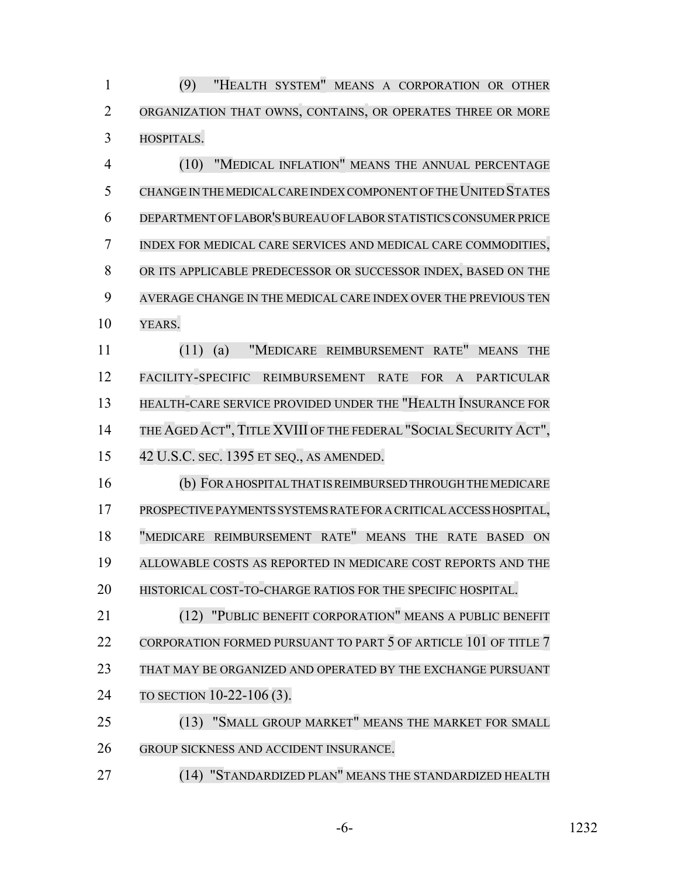(9) "HEALTH SYSTEM" MEANS A CORPORATION OR OTHER ORGANIZATION THAT OWNS, CONTAINS, OR OPERATES THREE OR MORE HOSPITALS.

 (10) "MEDICAL INFLATION" MEANS THE ANNUAL PERCENTAGE CHANGE IN THE MEDICAL CARE INDEX COMPONENT OF THE UNITED STATES DEPARTMENT OFLABOR'S BUREAU OF LABOR STATISTICS CONSUMER PRICE INDEX FOR MEDICAL CARE SERVICES AND MEDICAL CARE COMMODITIES, OR ITS APPLICABLE PREDECESSOR OR SUCCESSOR INDEX, BASED ON THE AVERAGE CHANGE IN THE MEDICAL CARE INDEX OVER THE PREVIOUS TEN YEARS.

 (11) (a) "MEDICARE REIMBURSEMENT RATE" MEANS THE FACILITY-SPECIFIC REIMBURSEMENT RATE FOR A PARTICULAR HEALTH-CARE SERVICE PROVIDED UNDER THE "HEALTH INSURANCE FOR THE AGED ACT", TITLE XVIII OF THE FEDERAL "SOCIAL SECURITY ACT", 42 U.S.C. SEC. 1395 ET SEQ., AS AMENDED.

 (b) FOR A HOSPITAL THAT IS REIMBURSED THROUGH THE MEDICARE PROSPECTIVE PAYMENTS SYSTEMS RATE FOR A CRITICAL ACCESS HOSPITAL, "MEDICARE REIMBURSEMENT RATE" MEANS THE RATE BASED ON ALLOWABLE COSTS AS REPORTED IN MEDICARE COST REPORTS AND THE HISTORICAL COST-TO-CHARGE RATIOS FOR THE SPECIFIC HOSPITAL.

 (12) "PUBLIC BENEFIT CORPORATION" MEANS A PUBLIC BENEFIT 22 CORPORATION FORMED PURSUANT TO PART 5 OF ARTICLE 101 OF TITLE 7 THAT MAY BE ORGANIZED AND OPERATED BY THE EXCHANGE PURSUANT TO SECTION 10-22-106 (3).

 (13) "SMALL GROUP MARKET" MEANS THE MARKET FOR SMALL GROUP SICKNESS AND ACCIDENT INSURANCE.

(14) "STANDARDIZED PLAN" MEANS THE STANDARDIZED HEALTH

-6- 1232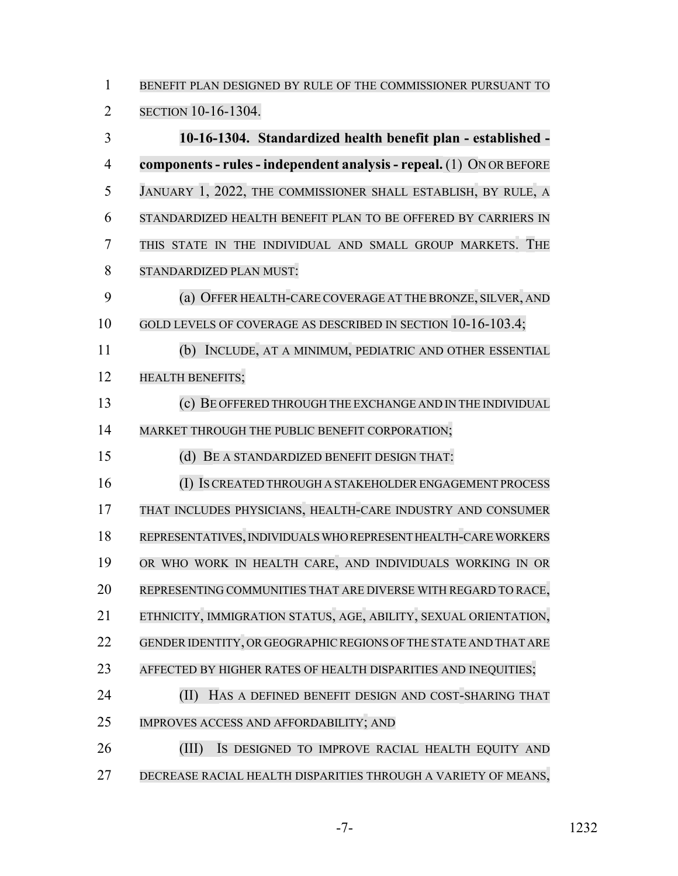BENEFIT PLAN DESIGNED BY RULE OF THE COMMISSIONER PURSUANT TO

SECTION 10-16-1304.

 **10-16-1304. Standardized health benefit plan - established - components- rules- independent analysis - repeal.** (1) ON OR BEFORE JANUARY 1, 2022, THE COMMISSIONER SHALL ESTABLISH, BY RULE, A STANDARDIZED HEALTH BENEFIT PLAN TO BE OFFERED BY CARRIERS IN THIS STATE IN THE INDIVIDUAL AND SMALL GROUP MARKETS. THE STANDARDIZED PLAN MUST: (a) OFFER HEALTH-CARE COVERAGE AT THE BRONZE, SILVER, AND 10 GOLD LEVELS OF COVERAGE AS DESCRIBED IN SECTION 10-16-103.4; (b) INCLUDE, AT A MINIMUM, PEDIATRIC AND OTHER ESSENTIAL HEALTH BENEFITS; (c) BE OFFERED THROUGH THE EXCHANGE AND IN THE INDIVIDUAL MARKET THROUGH THE PUBLIC BENEFIT CORPORATION; (d) BE A STANDARDIZED BENEFIT DESIGN THAT: (I) IS CREATED THROUGH A STAKEHOLDER ENGAGEMENT PROCESS THAT INCLUDES PHYSICIANS, HEALTH-CARE INDUSTRY AND CONSUMER REPRESENTATIVES, INDIVIDUALS WHO REPRESENT HEALTH-CARE WORKERS OR WHO WORK IN HEALTH CARE, AND INDIVIDUALS WORKING IN OR REPRESENTING COMMUNITIES THAT ARE DIVERSE WITH REGARD TO RACE, ETHNICITY, IMMIGRATION STATUS, AGE, ABILITY, SEXUAL ORIENTATION, 22 GENDER IDENTITY, OR GEOGRAPHIC REGIONS OF THE STATE AND THAT ARE AFFECTED BY HIGHER RATES OF HEALTH DISPARITIES AND INEQUITIES; **(II) HAS A DEFINED BENEFIT DESIGN AND COST-SHARING THAT**  IMPROVES ACCESS AND AFFORDABILITY; AND (III) IS DESIGNED TO IMPROVE RACIAL HEALTH EQUITY AND DECREASE RACIAL HEALTH DISPARITIES THROUGH A VARIETY OF MEANS,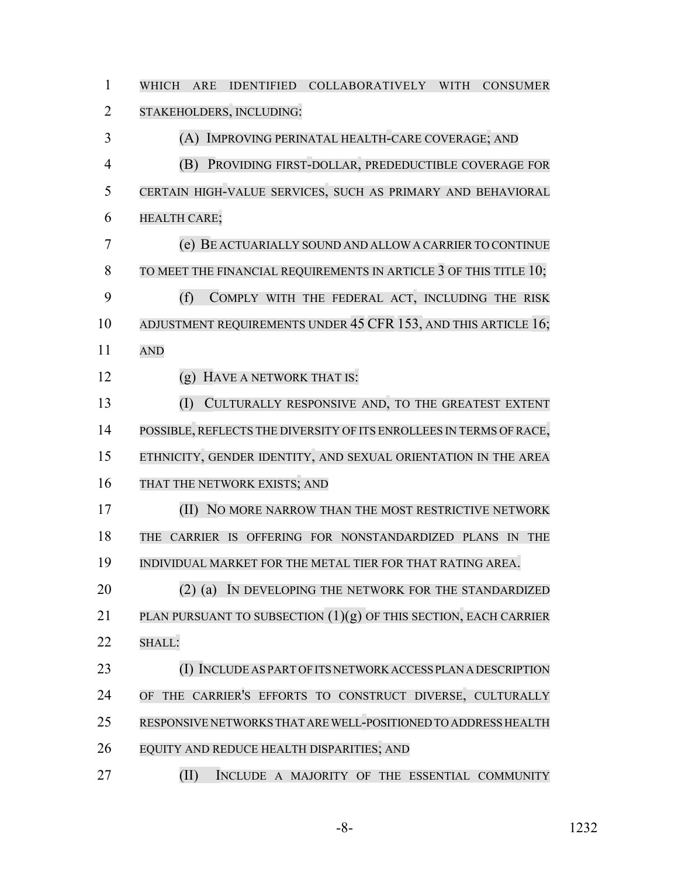| $\mathbf{1}$   | WHICH<br>ARE IDENTIFIED COLLABORATIVELY WITH<br><b>CONSUMER</b>        |
|----------------|------------------------------------------------------------------------|
| $\overline{2}$ | STAKEHOLDERS, INCLUDING:                                               |
| 3              | (A) IMPROVING PERINATAL HEALTH-CARE COVERAGE; AND                      |
| $\overline{4}$ | PROVIDING FIRST-DOLLAR, PREDEDUCTIBLE COVERAGE FOR<br>(B)              |
| 5              | CERTAIN HIGH-VALUE SERVICES, SUCH AS PRIMARY AND BEHAVIORAL            |
| 6              | HEALTH CARE;                                                           |
| 7              | (e) BE ACTUARIALLY SOUND AND ALLOW A CARRIER TO CONTINUE               |
| 8              | TO MEET THE FINANCIAL REQUIREMENTS IN ARTICLE $3$ of this title $10$ ; |
| 9              | (f)<br>COMPLY WITH THE FEDERAL ACT, INCLUDING THE RISK                 |
| 10             | ADJUSTMENT REQUIREMENTS UNDER 45 CFR 153, AND THIS ARTICLE 16;         |
| 11             | <b>AND</b>                                                             |
| 12             | HAVE A NETWORK THAT IS:<br>(g)                                         |
| 13             | (I)<br>CULTURALLY RESPONSIVE AND, TO THE GREATEST EXTENT               |
| 14             | POSSIBLE, REFLECTS THE DIVERSITY OF ITS ENROLLEES IN TERMS OF RACE,    |
| 15             | ETHNICITY, GENDER IDENTITY, AND SEXUAL ORIENTATION IN THE AREA         |
| 16             | THAT THE NETWORK EXISTS; AND                                           |
| 17             | (II) NO MORE NARROW THAN THE MOST RESTRICTIVE NETWORK                  |
| 18             | THE CARRIER IS OFFERING FOR NONSTANDARDIZED PLANS IN<br><b>THE</b>     |
| 19             | INDIVIDUAL MARKET FOR THE METAL TIER FOR THAT RATING AREA.             |
| 20             | $(2)$ (a)<br>IN DEVELOPING THE NETWORK FOR THE STANDARDIZED            |
| 21             | PLAN PURSUANT TO SUBSECTION (1)(g) OF THIS SECTION, EACH CARRIER       |
| 22             | SHALL:                                                                 |
| 23             | (I) INCLUDE AS PART OF ITS NETWORK ACCESS PLAN A DESCRIPTION           |
| 24             | THE CARRIER'S EFFORTS TO CONSTRUCT DIVERSE, CULTURALLY<br><b>OF</b>    |
| 25             | RESPONSIVE NETWORKS THAT ARE WELL-POSITIONED TO ADDRESS HEALTH         |
| 26             | EQUITY AND REDUCE HEALTH DISPARITIES; AND                              |
| 27             | (II)<br>INCLUDE A MAJORITY OF THE ESSENTIAL COMMUNITY                  |

-8- 1232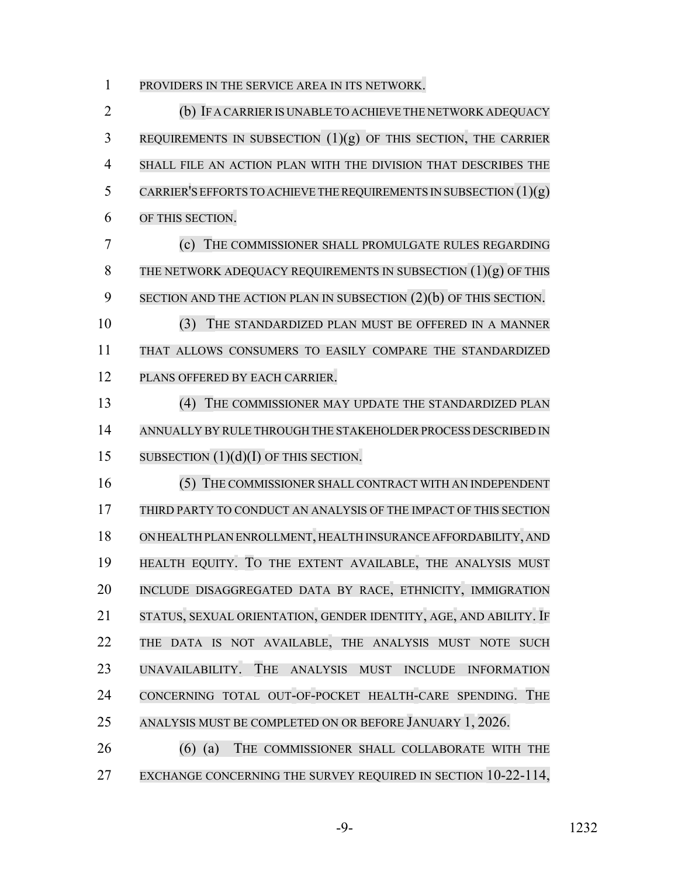PROVIDERS IN THE SERVICE AREA IN ITS NETWORK.

 (b) IF A CARRIER IS UNABLE TO ACHIEVE THE NETWORK ADEQUACY REQUIREMENTS IN SUBSECTION  $(1)(g)$  of this section, the Carrier SHALL FILE AN ACTION PLAN WITH THE DIVISION THAT DESCRIBES THE 5 CARRIER'S EFFORTS TO ACHIEVE THE REQUIREMENTS IN SUBSECTION  $(1)(g)$  OF THIS SECTION. (c) THE COMMISSIONER SHALL PROMULGATE RULES REGARDING 8 THE NETWORK ADEQUACY REQUIREMENTS IN SUBSECTION  $(1)(g)$  of this 9 SECTION AND THE ACTION PLAN IN SUBSECTION (2)(b) OF THIS SECTION. (3) THE STANDARDIZED PLAN MUST BE OFFERED IN A MANNER THAT ALLOWS CONSUMERS TO EASILY COMPARE THE STANDARDIZED PLANS OFFERED BY EACH CARRIER. (4) THE COMMISSIONER MAY UPDATE THE STANDARDIZED PLAN ANNUALLY BY RULE THROUGH THE STAKEHOLDER PROCESS DESCRIBED IN 15 SUBSECTION  $(1)(d)(I)$  OF THIS SECTION. (5) THE COMMISSIONER SHALL CONTRACT WITH AN INDEPENDENT THIRD PARTY TO CONDUCT AN ANALYSIS OF THE IMPACT OF THIS SECTION ON HEALTH PLAN ENROLLMENT, HEALTH INSURANCE AFFORDABILITY, AND HEALTH EQUITY. TO THE EXTENT AVAILABLE, THE ANALYSIS MUST INCLUDE DISAGGREGATED DATA BY RACE, ETHNICITY, IMMIGRATION STATUS, SEXUAL ORIENTATION, GENDER IDENTITY, AGE, AND ABILITY. IF THE DATA IS NOT AVAILABLE, THE ANALYSIS MUST NOTE SUCH UNAVAILABILITY. THE ANALYSIS MUST INCLUDE INFORMATION CONCERNING TOTAL OUT-OF-POCKET HEALTH-CARE SPENDING. THE ANALYSIS MUST BE COMPLETED ON OR BEFORE JANUARY 1, 2026. 26 (6) (a) THE COMMISSIONER SHALL COLLABORATE WITH THE 27 EXCHANGE CONCERNING THE SURVEY REQUIRED IN SECTION 10-22-114,

-9- 1232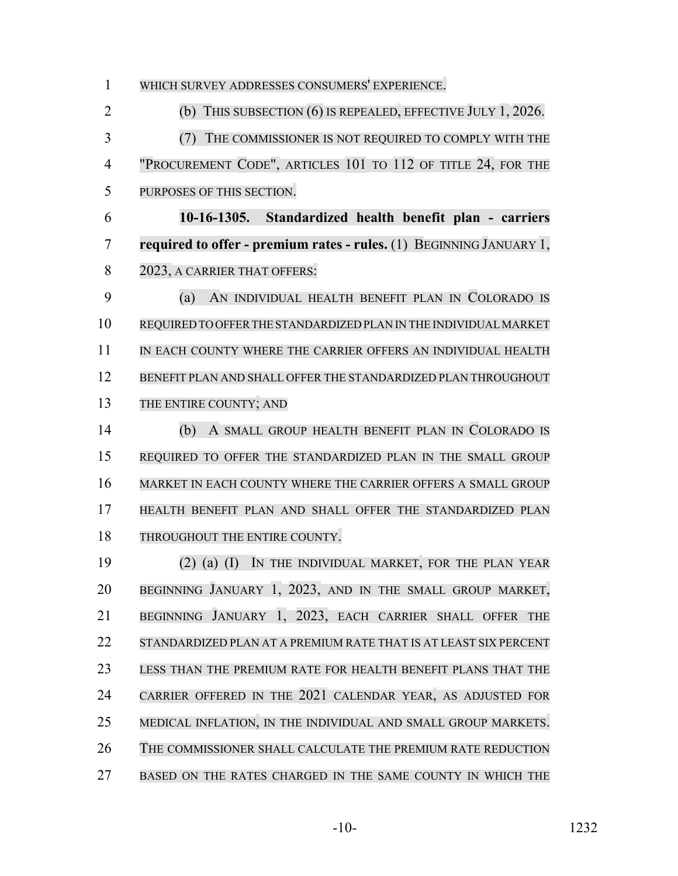WHICH SURVEY ADDRESSES CONSUMERS' EXPERIENCE. (b) THIS SUBSECTION (6) IS REPEALED, EFFECTIVE JULY 1, 2026. (7) THE COMMISSIONER IS NOT REQUIRED TO COMPLY WITH THE "PROCUREMENT CODE", ARTICLES 101 TO 112 OF TITLE 24, FOR THE PURPOSES OF THIS SECTION. **10-16-1305. Standardized health benefit plan - carriers required to offer - premium rates - rules.** (1) BEGINNING JANUARY 1, 8 2023, A CARRIER THAT OFFERS: (a) AN INDIVIDUAL HEALTH BENEFIT PLAN IN COLORADO IS REQUIRED TO OFFER THE STANDARDIZED PLAN IN THE INDIVIDUAL MARKET 11 IN EACH COUNTY WHERE THE CARRIER OFFERS AN INDIVIDUAL HEALTH BENEFIT PLAN AND SHALL OFFER THE STANDARDIZED PLAN THROUGHOUT 13 THE ENTIRE COUNTY; AND (b) A SMALL GROUP HEALTH BENEFIT PLAN IN COLORADO IS REQUIRED TO OFFER THE STANDARDIZED PLAN IN THE SMALL GROUP MARKET IN EACH COUNTY WHERE THE CARRIER OFFERS A SMALL GROUP HEALTH BENEFIT PLAN AND SHALL OFFER THE STANDARDIZED PLAN 18 THROUGHOUT THE ENTIRE COUNTY. (2) (a) (I) IN THE INDIVIDUAL MARKET, FOR THE PLAN YEAR BEGINNING JANUARY 1, 2023, AND IN THE SMALL GROUP MARKET, BEGINNING JANUARY 1, 2023, EACH CARRIER SHALL OFFER THE STANDARDIZED PLAN AT A PREMIUM RATE THAT IS AT LEAST SIX PERCENT LESS THAN THE PREMIUM RATE FOR HEALTH BENEFIT PLANS THAT THE CARRIER OFFERED IN THE 2021 CALENDAR YEAR, AS ADJUSTED FOR MEDICAL INFLATION, IN THE INDIVIDUAL AND SMALL GROUP MARKETS. THE COMMISSIONER SHALL CALCULATE THE PREMIUM RATE REDUCTION BASED ON THE RATES CHARGED IN THE SAME COUNTY IN WHICH THE

-10- 1232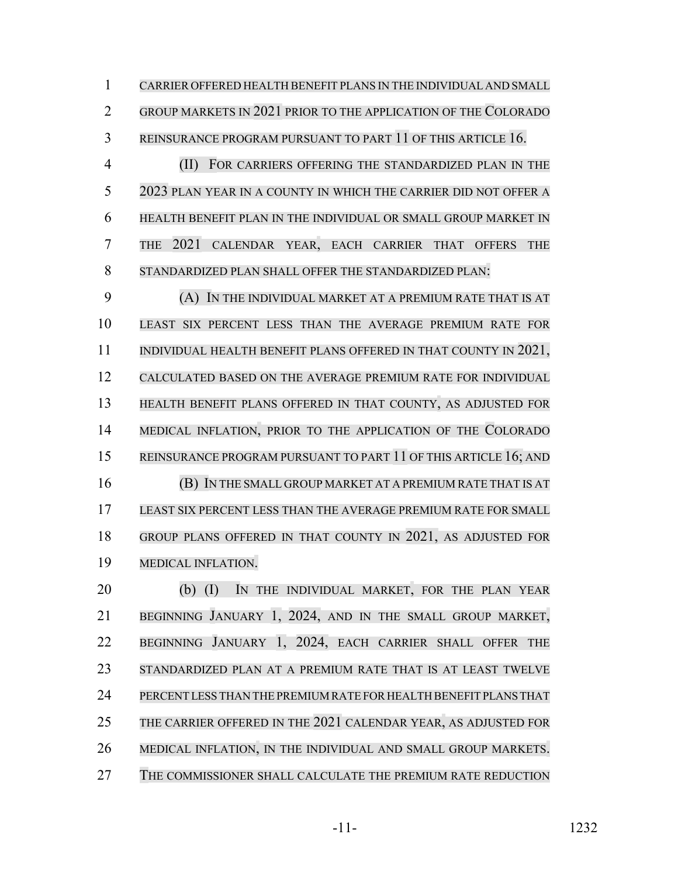CARRIER OFFERED HEALTH BENEFIT PLANS IN THE INDIVIDUAL AND SMALL GROUP MARKETS IN 2021 PRIOR TO THE APPLICATION OF THE COLORADO REINSURANCE PROGRAM PURSUANT TO PART 11 OF THIS ARTICLE 16.

 (II) FOR CARRIERS OFFERING THE STANDARDIZED PLAN IN THE 2023 PLAN YEAR IN A COUNTY IN WHICH THE CARRIER DID NOT OFFER A HEALTH BENEFIT PLAN IN THE INDIVIDUAL OR SMALL GROUP MARKET IN THE 2021 CALENDAR YEAR, EACH CARRIER THAT OFFERS THE STANDARDIZED PLAN SHALL OFFER THE STANDARDIZED PLAN:

 (A) IN THE INDIVIDUAL MARKET AT A PREMIUM RATE THAT IS AT LEAST SIX PERCENT LESS THAN THE AVERAGE PREMIUM RATE FOR 11 INDIVIDUAL HEALTH BENEFIT PLANS OFFERED IN THAT COUNTY IN 2021, CALCULATED BASED ON THE AVERAGE PREMIUM RATE FOR INDIVIDUAL HEALTH BENEFIT PLANS OFFERED IN THAT COUNTY, AS ADJUSTED FOR MEDICAL INFLATION, PRIOR TO THE APPLICATION OF THE COLORADO 15 REINSURANCE PROGRAM PURSUANT TO PART 11 OF THIS ARTICLE 16; AND (B) IN THE SMALL GROUP MARKET AT A PREMIUM RATE THAT IS AT LEAST SIX PERCENT LESS THAN THE AVERAGE PREMIUM RATE FOR SMALL GROUP PLANS OFFERED IN THAT COUNTY IN 2021, AS ADJUSTED FOR MEDICAL INFLATION.

 (b) (I) IN THE INDIVIDUAL MARKET, FOR THE PLAN YEAR BEGINNING JANUARY 1, 2024, AND IN THE SMALL GROUP MARKET, BEGINNING JANUARY 1, 2024, EACH CARRIER SHALL OFFER THE STANDARDIZED PLAN AT A PREMIUM RATE THAT IS AT LEAST TWELVE PERCENT LESS THAN THE PREMIUM RATE FOR HEALTH BENEFIT PLANS THAT THE CARRIER OFFERED IN THE 2021 CALENDAR YEAR, AS ADJUSTED FOR MEDICAL INFLATION, IN THE INDIVIDUAL AND SMALL GROUP MARKETS. THE COMMISSIONER SHALL CALCULATE THE PREMIUM RATE REDUCTION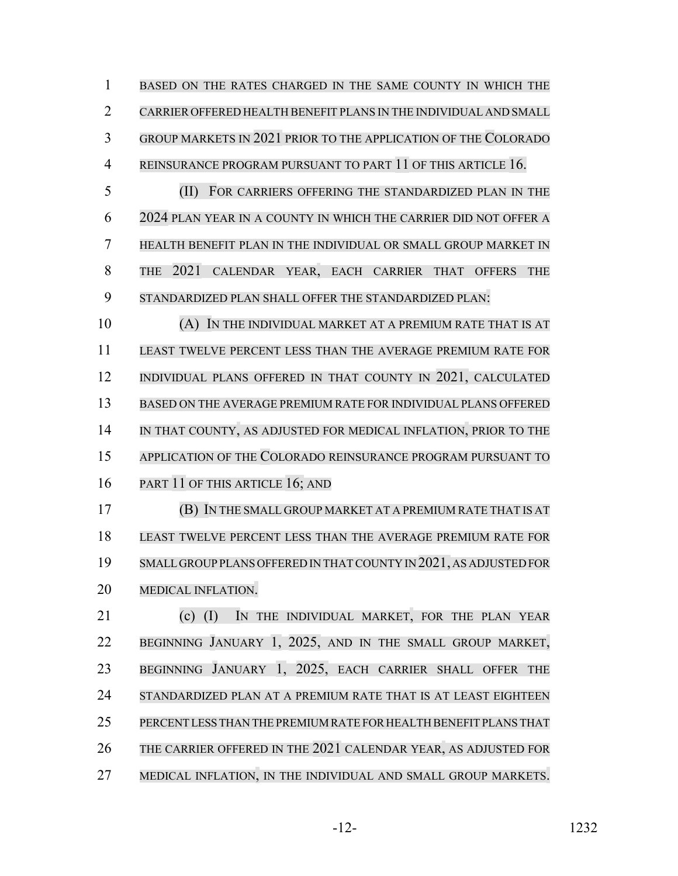BASED ON THE RATES CHARGED IN THE SAME COUNTY IN WHICH THE CARRIER OFFERED HEALTH BENEFIT PLANS IN THE INDIVIDUAL AND SMALL GROUP MARKETS IN 2021 PRIOR TO THE APPLICATION OF THE COLORADO REINSURANCE PROGRAM PURSUANT TO PART 11 OF THIS ARTICLE 16.

 (II) FOR CARRIERS OFFERING THE STANDARDIZED PLAN IN THE 2024 PLAN YEAR IN A COUNTY IN WHICH THE CARRIER DID NOT OFFER A HEALTH BENEFIT PLAN IN THE INDIVIDUAL OR SMALL GROUP MARKET IN THE 2021 CALENDAR YEAR, EACH CARRIER THAT OFFERS THE STANDARDIZED PLAN SHALL OFFER THE STANDARDIZED PLAN:

 (A) IN THE INDIVIDUAL MARKET AT A PREMIUM RATE THAT IS AT LEAST TWELVE PERCENT LESS THAN THE AVERAGE PREMIUM RATE FOR 12 INDIVIDUAL PLANS OFFERED IN THAT COUNTY IN 2021, CALCULATED BASED ON THE AVERAGE PREMIUM RATE FOR INDIVIDUAL PLANS OFFERED IN THAT COUNTY, AS ADJUSTED FOR MEDICAL INFLATION, PRIOR TO THE APPLICATION OF THE COLORADO REINSURANCE PROGRAM PURSUANT TO PART 11 OF THIS ARTICLE 16; AND

 (B) IN THE SMALL GROUP MARKET AT A PREMIUM RATE THAT IS AT LEAST TWELVE PERCENT LESS THAN THE AVERAGE PREMIUM RATE FOR SMALL GROUP PLANS OFFERED IN THAT COUNTY IN 2021, AS ADJUSTED FOR MEDICAL INFLATION.

 (c) (I) IN THE INDIVIDUAL MARKET, FOR THE PLAN YEAR BEGINNING JANUARY 1, 2025, AND IN THE SMALL GROUP MARKET, BEGINNING JANUARY 1, 2025, EACH CARRIER SHALL OFFER THE STANDARDIZED PLAN AT A PREMIUM RATE THAT IS AT LEAST EIGHTEEN PERCENT LESS THAN THE PREMIUM RATE FOR HEALTH BENEFIT PLANS THAT THE CARRIER OFFERED IN THE 2021 CALENDAR YEAR, AS ADJUSTED FOR 27 MEDICAL INFLATION, IN THE INDIVIDUAL AND SMALL GROUP MARKETS.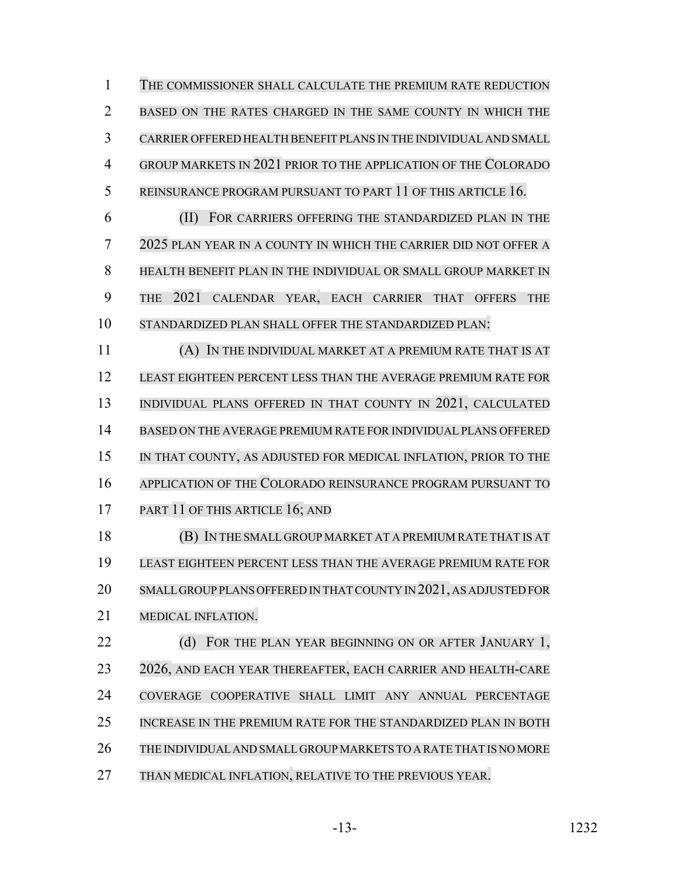THE COMMISSIONER SHALL CALCULATE THE PREMIUM RATE REDUCTION BASED ON THE RATES CHARGED IN THE SAME COUNTY IN WHICH THE CARRIER OFFERED HEALTH BENEFIT PLANS IN THE INDIVIDUAL AND SMALL GROUP MARKETS IN 2021 PRIOR TO THE APPLICATION OF THE COLORADO 5 REINSURANCE PROGRAM PURSUANT TO PART 11 OF THIS ARTICLE 16. (II) FOR CARRIERS OFFERING THE STANDARDIZED PLAN IN THE 2025 PLAN YEAR IN A COUNTY IN WHICH THE CARRIER DID NOT OFFER A HEALTH BENEFIT PLAN IN THE INDIVIDUAL OR SMALL GROUP MARKET IN THE 2021 CALENDAR YEAR, EACH CARRIER THAT OFFERS THE STANDARDIZED PLAN SHALL OFFER THE STANDARDIZED PLAN: (A) IN THE INDIVIDUAL MARKET AT A PREMIUM RATE THAT IS AT LEAST EIGHTEEN PERCENT LESS THAN THE AVERAGE PREMIUM RATE FOR 13 INDIVIDUAL PLANS OFFERED IN THAT COUNTY IN 2021, CALCULATED BASED ON THE AVERAGE PREMIUM RATE FOR INDIVIDUAL PLANS OFFERED IN THAT COUNTY, AS ADJUSTED FOR MEDICAL INFLATION, PRIOR TO THE APPLICATION OF THE COLORADO REINSURANCE PROGRAM PURSUANT TO

17 PART 11 OF THIS ARTICLE 16; AND

 (B) IN THE SMALL GROUP MARKET AT A PREMIUM RATE THAT IS AT LEAST EIGHTEEN PERCENT LESS THAN THE AVERAGE PREMIUM RATE FOR SMALL GROUP PLANS OFFERED IN THAT COUNTY IN 2021, AS ADJUSTED FOR MEDICAL INFLATION.

22 (d) FOR THE PLAN YEAR BEGINNING ON OR AFTER JANUARY 1, 2026, AND EACH YEAR THEREAFTER, EACH CARRIER AND HEALTH-CARE COVERAGE COOPERATIVE SHALL LIMIT ANY ANNUAL PERCENTAGE INCREASE IN THE PREMIUM RATE FOR THE STANDARDIZED PLAN IN BOTH THE INDIVIDUALAND SMALL GROUP MARKETS TO A RATE THAT IS NO MORE

27 THAN MEDICAL INFLATION, RELATIVE TO THE PREVIOUS YEAR.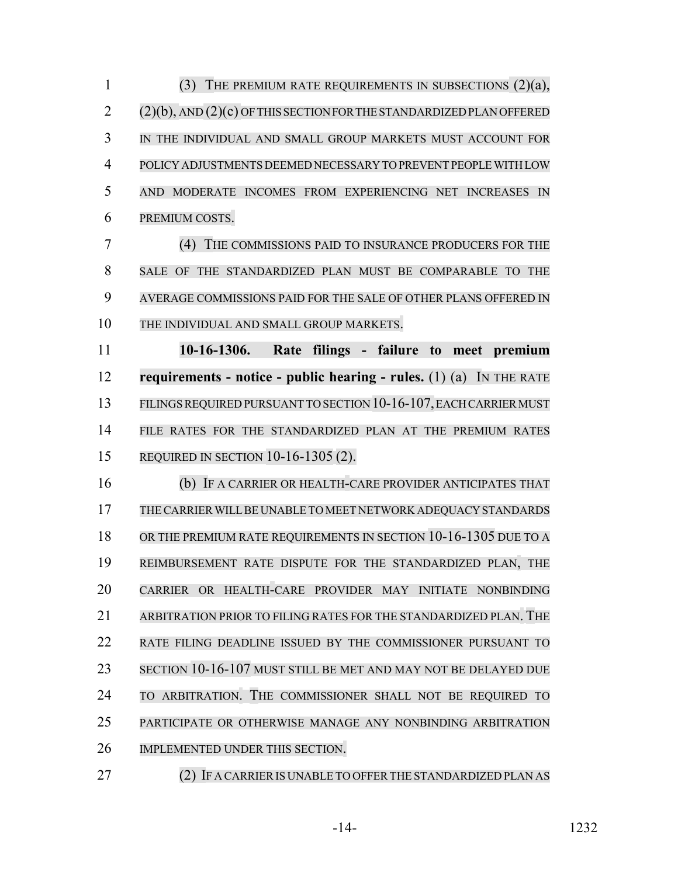(3) THE PREMIUM RATE REQUIREMENTS IN SUBSECTIONS (2)(a), (2)(b), AND (2)(c) OF THIS SECTION FOR THE STANDARDIZED PLAN OFFERED IN THE INDIVIDUAL AND SMALL GROUP MARKETS MUST ACCOUNT FOR POLICY ADJUSTMENTS DEEMED NECESSARY TO PREVENT PEOPLE WITH LOW AND MODERATE INCOMES FROM EXPERIENCING NET INCREASES IN PREMIUM COSTS.

 (4) THE COMMISSIONS PAID TO INSURANCE PRODUCERS FOR THE SALE OF THE STANDARDIZED PLAN MUST BE COMPARABLE TO THE AVERAGE COMMISSIONS PAID FOR THE SALE OF OTHER PLANS OFFERED IN THE INDIVIDUAL AND SMALL GROUP MARKETS.

 **10-16-1306. Rate filings - failure to meet premium requirements - notice - public hearing - rules.** (1) (a) IN THE RATE 13 FILINGS REQUIRED PURSUANT TO SECTION 10-16-107, EACH CARRIER MUST FILE RATES FOR THE STANDARDIZED PLAN AT THE PREMIUM RATES REQUIRED IN SECTION 10-16-1305 (2).

 (b) IF A CARRIER OR HEALTH-CARE PROVIDER ANTICIPATES THAT THECARRIERWILLBE UNABLE TO MEET NETWORK ADEQUACY STANDARDS OR THE PREMIUM RATE REQUIREMENTS IN SECTION 10-16-1305 DUE TO A REIMBURSEMENT RATE DISPUTE FOR THE STANDARDIZED PLAN, THE CARRIER OR HEALTH-CARE PROVIDER MAY INITIATE NONBINDING ARBITRATION PRIOR TO FILING RATES FOR THE STANDARDIZED PLAN. THE RATE FILING DEADLINE ISSUED BY THE COMMISSIONER PURSUANT TO SECTION 10-16-107 MUST STILL BE MET AND MAY NOT BE DELAYED DUE TO ARBITRATION. THE COMMISSIONER SHALL NOT BE REQUIRED TO PARTICIPATE OR OTHERWISE MANAGE ANY NONBINDING ARBITRATION IMPLEMENTED UNDER THIS SECTION.

(2) IF A CARRIER IS UNABLE TO OFFER THE STANDARDIZED PLAN AS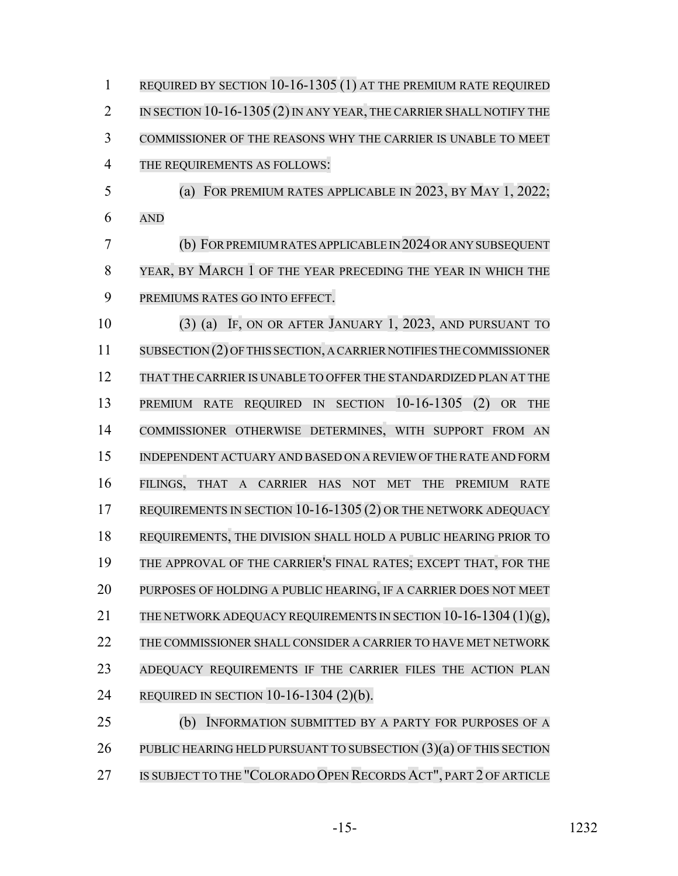REQUIRED BY SECTION 10-16-1305 (1) AT THE PREMIUM RATE REQUIRED 2 IN SECTION 10-16-1305 (2) IN ANY YEAR, THE CARRIER SHALL NOTIFY THE COMMISSIONER OF THE REASONS WHY THE CARRIER IS UNABLE TO MEET THE REQUIREMENTS AS FOLLOWS: (a) FOR PREMIUM RATES APPLICABLE IN 2023, BY MAY 1, 2022; AND (b) FORPREMIUMRATESAPPLICABLE IN 2024ORANYSUBSEQUENT YEAR, BY MARCH 1 OF THE YEAR PRECEDING THE YEAR IN WHICH THE PREMIUMS RATES GO INTO EFFECT. (3) (a) IF, ON OR AFTER JANUARY 1, 2023, AND PURSUANT TO SUBSECTION (2) OFTHIS SECTION, A CARRIER NOTIFIES THE COMMISSIONER THAT THE CARRIER IS UNABLE TO OFFER THE STANDARDIZED PLAN AT THE PREMIUM RATE REQUIRED IN SECTION 10-16-1305 (2) OR THE COMMISSIONER OTHERWISE DETERMINES, WITH SUPPORT FROM AN INDEPENDENT ACTUARY AND BASED ON A REVIEWOF THE RATE AND FORM FILINGS, THAT A CARRIER HAS NOT MET THE PREMIUM RATE 17 REQUIREMENTS IN SECTION 10-16-1305 (2) OR THE NETWORK ADEQUACY REQUIREMENTS, THE DIVISION SHALL HOLD A PUBLIC HEARING PRIOR TO THE APPROVAL OF THE CARRIER'S FINAL RATES; EXCEPT THAT, FOR THE PURPOSES OF HOLDING A PUBLIC HEARING, IF A CARRIER DOES NOT MEET 21 THE NETWORK ADEQUACY REQUIREMENTS IN SECTION 10-16-1304 (1)(g), THE COMMISSIONER SHALL CONSIDER A CARRIER TO HAVE MET NETWORK ADEQUACY REQUIREMENTS IF THE CARRIER FILES THE ACTION PLAN REQUIRED IN SECTION 10-16-1304 (2)(b). (b) INFORMATION SUBMITTED BY A PARTY FOR PURPOSES OF A 26 PUBLIC HEARING HELD PURSUANT TO SUBSECTION (3)(a) OF THIS SECTION

27 IS SUBJECT TO THE "COLORADO OPEN RECORDS ACT", PART 2 OF ARTICLE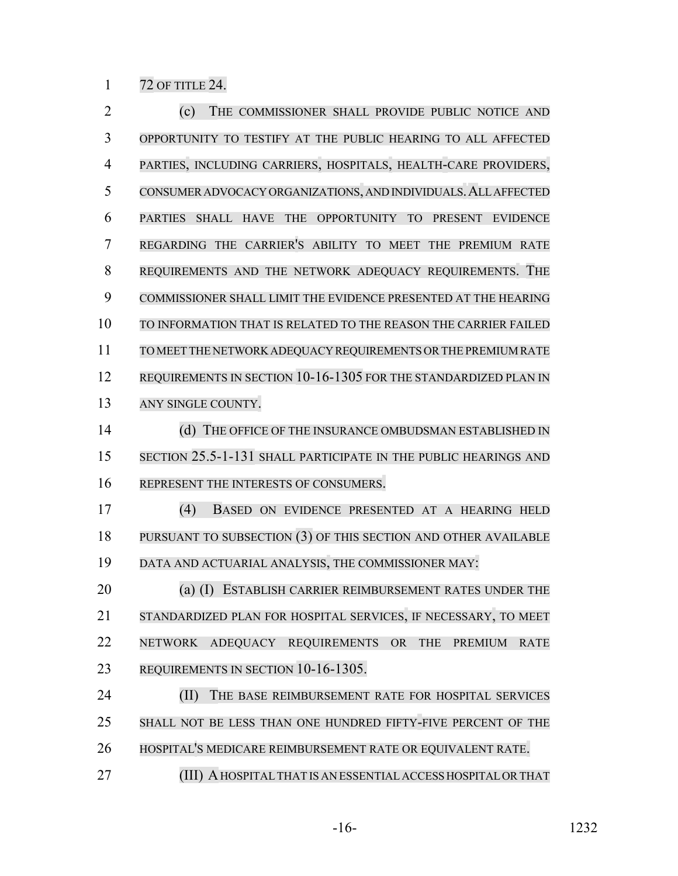72 OF TITLE 24.

 (c) THE COMMISSIONER SHALL PROVIDE PUBLIC NOTICE AND OPPORTUNITY TO TESTIFY AT THE PUBLIC HEARING TO ALL AFFECTED PARTIES, INCLUDING CARRIERS, HOSPITALS, HEALTH-CARE PROVIDERS, CONSUMER ADVOCACY ORGANIZATIONS, AND INDIVIDUALS.ALL AFFECTED PARTIES SHALL HAVE THE OPPORTUNITY TO PRESENT EVIDENCE REGARDING THE CARRIER'S ABILITY TO MEET THE PREMIUM RATE REQUIREMENTS AND THE NETWORK ADEQUACY REQUIREMENTS. THE COMMISSIONER SHALL LIMIT THE EVIDENCE PRESENTED AT THE HEARING TO INFORMATION THAT IS RELATED TO THE REASON THE CARRIER FAILED TO MEET THE NETWORK ADEQUACY REQUIREMENTS OR THE PREMIUM RATE 12 REQUIREMENTS IN SECTION 10-16-1305 FOR THE STANDARDIZED PLAN IN 13 ANY SINGLE COUNTY. 14 (d) THE OFFICE OF THE INSURANCE OMBUDSMAN ESTABLISHED IN SECTION 25.5-1-131 SHALL PARTICIPATE IN THE PUBLIC HEARINGS AND REPRESENT THE INTERESTS OF CONSUMERS. (4) BASED ON EVIDENCE PRESENTED AT A HEARING HELD PURSUANT TO SUBSECTION (3) OF THIS SECTION AND OTHER AVAILABLE DATA AND ACTUARIAL ANALYSIS, THE COMMISSIONER MAY: **(a) (I) ESTABLISH CARRIER REIMBURSEMENT RATES UNDER THE**  STANDARDIZED PLAN FOR HOSPITAL SERVICES, IF NECESSARY, TO MEET NETWORK ADEQUACY REQUIREMENTS OR THE PREMIUM RATE REQUIREMENTS IN SECTION 10-16-1305. **(II)** THE BASE REIMBURSEMENT RATE FOR HOSPITAL SERVICES SHALL NOT BE LESS THAN ONE HUNDRED FIFTY-FIVE PERCENT OF THE HOSPITAL'S MEDICARE REIMBURSEMENT RATE OR EQUIVALENT RATE. **(III) A HOSPITAL THAT IS AN ESSENTIAL ACCESS HOSPITAL OR THAT** 

-16- 1232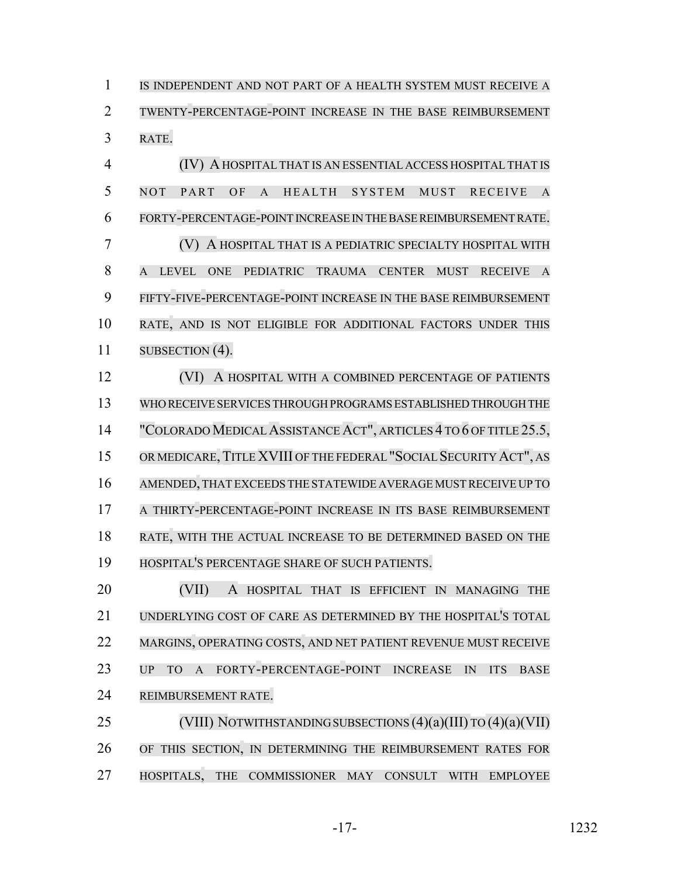IS INDEPENDENT AND NOT PART OF A HEALTH SYSTEM MUST RECEIVE A TWENTY-PERCENTAGE-POINT INCREASE IN THE BASE REIMBURSEMENT RATE.

 (IV) A HOSPITAL THAT IS AN ESSENTIAL ACCESS HOSPITAL THAT IS NOT PART OF A HEALTH SYSTEM MUST RECEIVE A FORTY-PERCENTAGE-POINT INCREASE IN THE BASE REIMBURSEMENT RATE. (V) A HOSPITAL THAT IS A PEDIATRIC SPECIALTY HOSPITAL WITH A LEVEL ONE PEDIATRIC TRAUMA CENTER MUST RECEIVE A FIFTY-FIVE-PERCENTAGE-POINT INCREASE IN THE BASE REIMBURSEMENT RATE, AND IS NOT ELIGIBLE FOR ADDITIONAL FACTORS UNDER THIS 11 SUBSECTION (4).

**(VI) A HOSPITAL WITH A COMBINED PERCENTAGE OF PATIENTS**  WHO RECEIVE SERVICES THROUGH PROGRAMS ESTABLISHED THROUGH THE 14 "COLORADO MEDICAL ASSISTANCE ACT", ARTICLES 4 TO 6 OF TITLE 25.5, 15 OR MEDICARE, TITLE XVIII OF THE FEDERAL "SOCIAL SECURITY ACT", AS AMENDED,THAT EXCEEDS THE STATEWIDE AVERAGE MUSTRECEIVE UP TO A THIRTY-PERCENTAGE-POINT INCREASE IN ITS BASE REIMBURSEMENT RATE, WITH THE ACTUAL INCREASE TO BE DETERMINED BASED ON THE HOSPITAL'S PERCENTAGE SHARE OF SUCH PATIENTS.

 (VII) A HOSPITAL THAT IS EFFICIENT IN MANAGING THE UNDERLYING COST OF CARE AS DETERMINED BY THE HOSPITAL'S TOTAL MARGINS, OPERATING COSTS, AND NET PATIENT REVENUE MUST RECEIVE UP TO A FORTY-PERCENTAGE-POINT INCREASE IN ITS BASE REIMBURSEMENT RATE.

 (VIII) NOTWITHSTANDINGSUBSECTIONS (4)(a)(III) TO (4)(a)(VII) OF THIS SECTION, IN DETERMINING THE REIMBURSEMENT RATES FOR HOSPITALS, THE COMMISSIONER MAY CONSULT WITH EMPLOYEE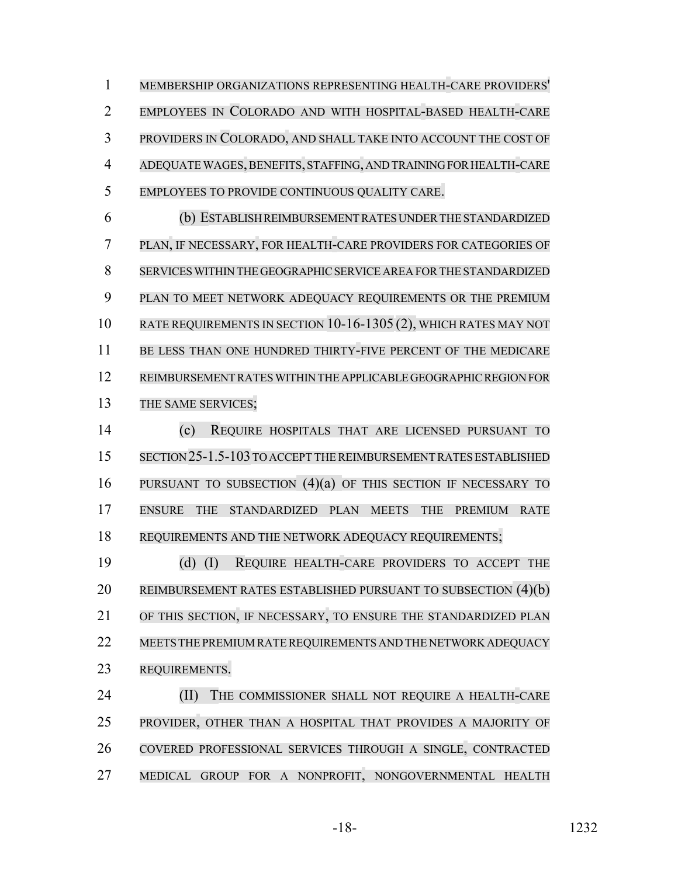MEMBERSHIP ORGANIZATIONS REPRESENTING HEALTH-CARE PROVIDERS' EMPLOYEES IN COLORADO AND WITH HOSPITAL-BASED HEALTH-CARE PROVIDERS IN COLORADO, AND SHALL TAKE INTO ACCOUNT THE COST OF ADEQUATE WAGES,BENEFITS, STAFFING, AND TRAINING FOR HEALTH-CARE EMPLOYEES TO PROVIDE CONTINUOUS QUALITY CARE.

 (b) ESTABLISH REIMBURSEMENT RATES UNDER THE STANDARDIZED PLAN, IF NECESSARY, FOR HEALTH-CARE PROVIDERS FOR CATEGORIES OF SERVICES WITHIN THE GEOGRAPHIC SERVICE AREA FOR THE STANDARDIZED PLAN TO MEET NETWORK ADEQUACY REQUIREMENTS OR THE PREMIUM RATE REQUIREMENTS IN SECTION 10-16-1305 (2), WHICH RATES MAY NOT 11 BE LESS THAN ONE HUNDRED THIRTY-FIVE PERCENT OF THE MEDICARE REIMBURSEMENT RATES WITHIN THE APPLICABLE GEOGRAPHIC REGION FOR 13 THE SAME SERVICES;

 (c) REQUIRE HOSPITALS THAT ARE LICENSED PURSUANT TO SECTION 25-1.5-103 TO ACCEPT THE REIMBURSEMENT RATES ESTABLISHED PURSUANT TO SUBSECTION (4)(a) OF THIS SECTION IF NECESSARY TO ENSURE THE STANDARDIZED PLAN MEETS THE PREMIUM RATE 18 REQUIREMENTS AND THE NETWORK ADEQUACY REQUIREMENTS;

 (d) (I) REQUIRE HEALTH-CARE PROVIDERS TO ACCEPT THE REIMBURSEMENT RATES ESTABLISHED PURSUANT TO SUBSECTION (4)(b) OF THIS SECTION, IF NECESSARY, TO ENSURE THE STANDARDIZED PLAN MEETS THE PREMIUM RATE REQUIREMENTS AND THE NETWORK ADEQUACY REQUIREMENTS.

**(II)** THE COMMISSIONER SHALL NOT REQUIRE A HEALTH-CARE PROVIDER, OTHER THAN A HOSPITAL THAT PROVIDES A MAJORITY OF COVERED PROFESSIONAL SERVICES THROUGH A SINGLE, CONTRACTED MEDICAL GROUP FOR A NONPROFIT, NONGOVERNMENTAL HEALTH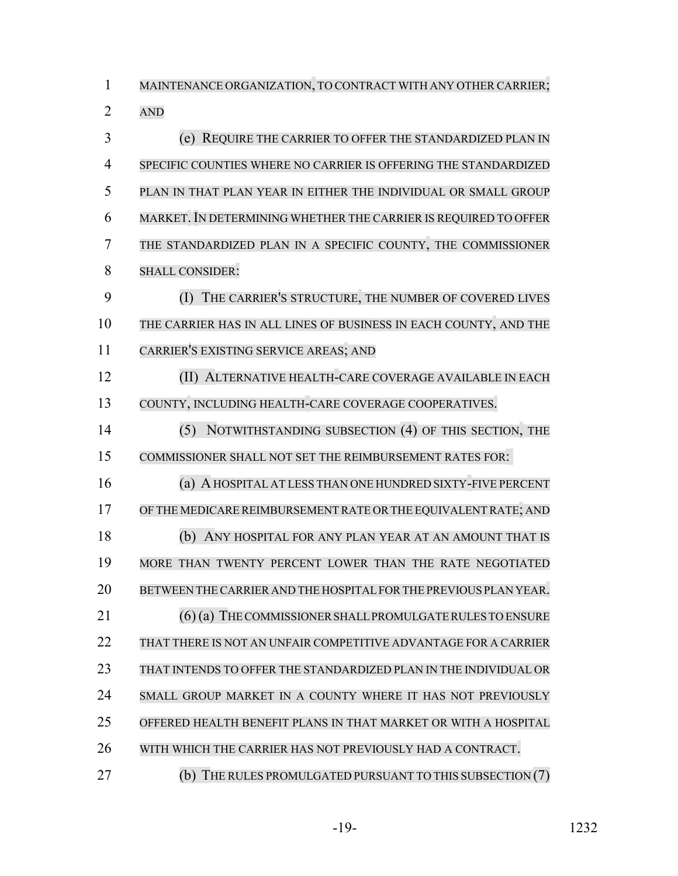MAINTENANCE ORGANIZATION, TO CONTRACT WITH ANY OTHER CARRIER; AND (e) REQUIRE THE CARRIER TO OFFER THE STANDARDIZED PLAN IN SPECIFIC COUNTIES WHERE NO CARRIER IS OFFERING THE STANDARDIZED PLAN IN THAT PLAN YEAR IN EITHER THE INDIVIDUAL OR SMALL GROUP MARKET.IN DETERMINING WHETHER THE CARRIER IS REQUIRED TO OFFER THE STANDARDIZED PLAN IN A SPECIFIC COUNTY, THE COMMISSIONER SHALL CONSIDER: (I) THE CARRIER'S STRUCTURE, THE NUMBER OF COVERED LIVES THE CARRIER HAS IN ALL LINES OF BUSINESS IN EACH COUNTY, AND THE CARRIER'S EXISTING SERVICE AREAS; AND (II) ALTERNATIVE HEALTH-CARE COVERAGE AVAILABLE IN EACH COUNTY, INCLUDING HEALTH-CARE COVERAGE COOPERATIVES. (5) NOTWITHSTANDING SUBSECTION (4) OF THIS SECTION, THE COMMISSIONER SHALL NOT SET THE REIMBURSEMENT RATES FOR: (a) A HOSPITAL AT LESS THAN ONE HUNDRED SIXTY-FIVE PERCENT OF THE MEDICARE REIMBURSEMENT RATE ORTHE EQUIVALENT RATE; AND (b) ANY HOSPITAL FOR ANY PLAN YEAR AT AN AMOUNT THAT IS MORE THAN TWENTY PERCENT LOWER THAN THE RATE NEGOTIATED BETWEEN THE CARRIER AND THE HOSPITALFORTHE PREVIOUS PLAN YEAR. 21 (6) (a) THE COMMISSIONER SHALL PROMULGATE RULES TO ENSURE THAT THERE IS NOT AN UNFAIR COMPETITIVE ADVANTAGE FOR A CARRIER THAT INTENDS TO OFFER THE STANDARDIZED PLAN IN THE INDIVIDUAL OR SMALL GROUP MARKET IN A COUNTY WHERE IT HAS NOT PREVIOUSLY OFFERED HEALTH BENEFIT PLANS IN THAT MARKET OR WITH A HOSPITAL WITH WHICH THE CARRIER HAS NOT PREVIOUSLY HAD A CONTRACT. **(b)** THE RULES PROMULGATED PURSUANT TO THIS SUBSECTION (7)

-19- 1232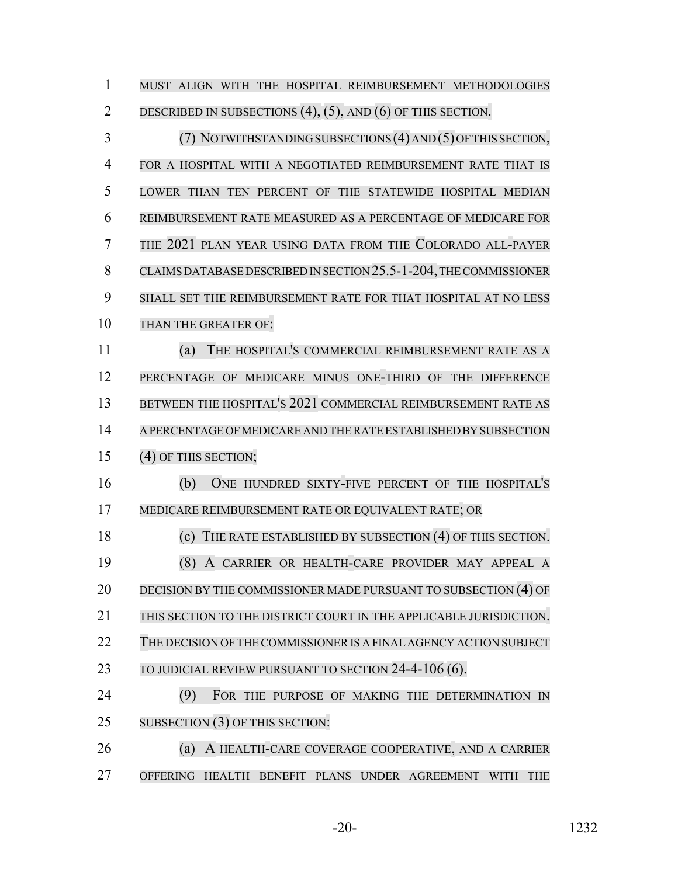MUST ALIGN WITH THE HOSPITAL REIMBURSEMENT METHODOLOGIES DESCRIBED IN SUBSECTIONS (4), (5), AND (6) OF THIS SECTION. 3 (7) NOTWITHSTANDING SUBSECTIONS (4) AND (5) OF THIS SECTION, FOR A HOSPITAL WITH A NEGOTIATED REIMBURSEMENT RATE THAT IS LOWER THAN TEN PERCENT OF THE STATEWIDE HOSPITAL MEDIAN REIMBURSEMENT RATE MEASURED AS A PERCENTAGE OF MEDICARE FOR THE 2021 PLAN YEAR USING DATA FROM THE COLORADO ALL-PAYER CLAIMS DATABASE DESCRIBED IN SECTION 25.5-1-204, THE COMMISSIONER SHALL SET THE REIMBURSEMENT RATE FOR THAT HOSPITAL AT NO LESS THAN THE GREATER OF: (a) THE HOSPITAL'S COMMERCIAL REIMBURSEMENT RATE AS A PERCENTAGE OF MEDICARE MINUS ONE-THIRD OF THE DIFFERENCE BETWEEN THE HOSPITAL'S 2021 COMMERCIAL REIMBURSEMENT RATE AS A PERCENTAGE OFMEDICARE AND THERATE ESTABLISHED BY SUBSECTION (4) OF THIS SECTION; (b) ONE HUNDRED SIXTY-FIVE PERCENT OF THE HOSPITAL'S MEDICARE REIMBURSEMENT RATE OR EQUIVALENT RATE; OR (c) THE RATE ESTABLISHED BY SUBSECTION (4) OF THIS SECTION. (8) A CARRIER OR HEALTH-CARE PROVIDER MAY APPEAL A 20 DECISION BY THE COMMISSIONER MADE PURSUANT TO SUBSECTION (4) OF THIS SECTION TO THE DISTRICT COURT IN THE APPLICABLE JURISDICTION. 22 THE DECISION OF THE COMMISSIONER IS A FINAL AGENCY ACTION SUBJECT 23 TO JUDICIAL REVIEW PURSUANT TO SECTION 24-4-106 (6). (9) FOR THE PURPOSE OF MAKING THE DETERMINATION IN 25 SUBSECTION (3) OF THIS SECTION: (a) A HEALTH-CARE COVERAGE COOPERATIVE, AND A CARRIER OFFERING HEALTH BENEFIT PLANS UNDER AGREEMENT WITH THE

-20- 1232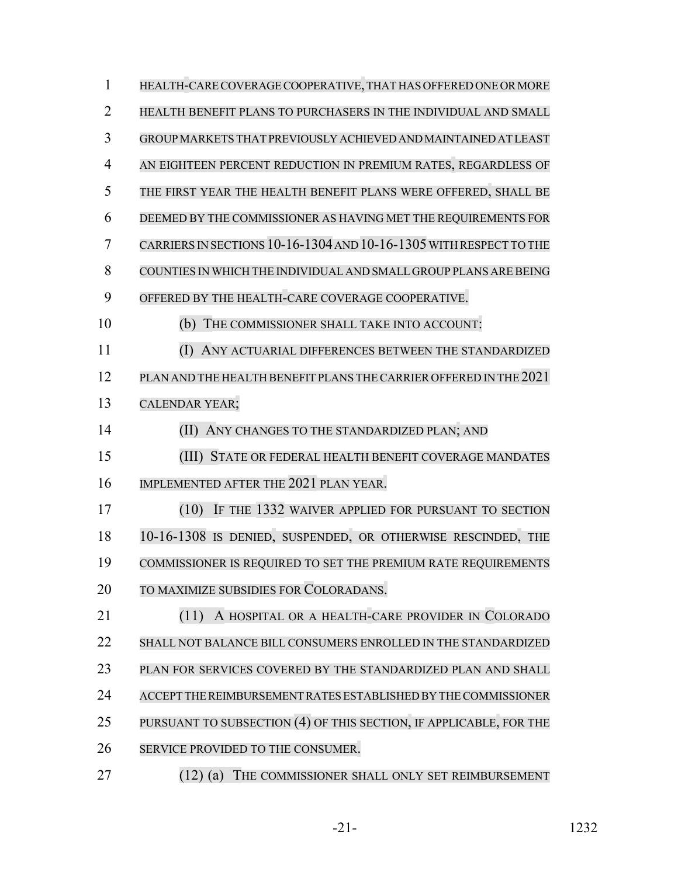| $\mathbf{1}$   | HEALTH-CARE COVERAGE COOPERATIVE, THAT HAS OFFERED ONE OR MORE     |
|----------------|--------------------------------------------------------------------|
| $\overline{2}$ | HEALTH BENEFIT PLANS TO PURCHASERS IN THE INDIVIDUAL AND SMALL     |
| 3              | GROUP MARKETS THAT PREVIOUSLY ACHIEVED AND MAINTAINED AT LEAST     |
| $\overline{4}$ | AN EIGHTEEN PERCENT REDUCTION IN PREMIUM RATES, REGARDLESS OF      |
| 5              | THE FIRST YEAR THE HEALTH BENEFIT PLANS WERE OFFERED, SHALL BE     |
| 6              | DEEMED BY THE COMMISSIONER AS HAVING MET THE REQUIREMENTS FOR      |
| 7              | CARRIERS IN SECTIONS 10-16-1304 AND 10-16-1305 WITH RESPECT TO THE |
| 8              | COUNTIES IN WHICH THE INDIVIDUAL AND SMALL GROUP PLANS ARE BEING   |
| 9              | OFFERED BY THE HEALTH-CARE COVERAGE COOPERATIVE.                   |
| 10             | THE COMMISSIONER SHALL TAKE INTO ACCOUNT:<br>(b)                   |
| 11             | ANY ACTUARIAL DIFFERENCES BETWEEN THE STANDARDIZED<br>(I)          |
| 12             | PLAN AND THE HEALTH BENEFIT PLANS THE CARRIER OFFERED IN THE 2021  |
| 13             | <b>CALENDAR YEAR;</b>                                              |
| 14             | ANY CHANGES TO THE STANDARDIZED PLAN; AND<br>(II)                  |
| 15             | STATE OR FEDERAL HEALTH BENEFIT COVERAGE MANDATES<br>(III)         |
| 16             | IMPLEMENTED AFTER THE 2021 PLAN YEAR.                              |
| 17             | (10)<br>IF THE 1332 WAIVER APPLIED FOR PURSUANT TO SECTION         |
| 18             | 10-16-1308 IS DENIED, SUSPENDED, OR OTHERWISE RESCINDED, THE       |
| 19             | COMMISSIONER IS REQUIRED TO SET THE PREMIUM RATE REQUIREMENTS      |
| 20             | TO MAXIMIZE SUBSIDIES FOR COLORADANS.                              |
| 21             | A HOSPITAL OR A HEALTH-CARE PROVIDER IN COLORADO<br>(11)           |
| 22             | SHALL NOT BALANCE BILL CONSUMERS ENROLLED IN THE STANDARDIZED      |
| 23             | PLAN FOR SERVICES COVERED BY THE STANDARDIZED PLAN AND SHALL       |
| 24             | ACCEPT THE REIMBURSEMENT RATES ESTABLISHED BY THE COMMISSIONER     |
| 25             | PURSUANT TO SUBSECTION (4) OF THIS SECTION, IF APPLICABLE, FOR THE |
| 26             | SERVICE PROVIDED TO THE CONSUMER.                                  |
| 27             | $(12)$ $(6)$ THE COMMISSIONED SHALL ONLY SET REMARKED              |

(12) (a) THE COMMISSIONER SHALL ONLY SET REIMBURSEMENT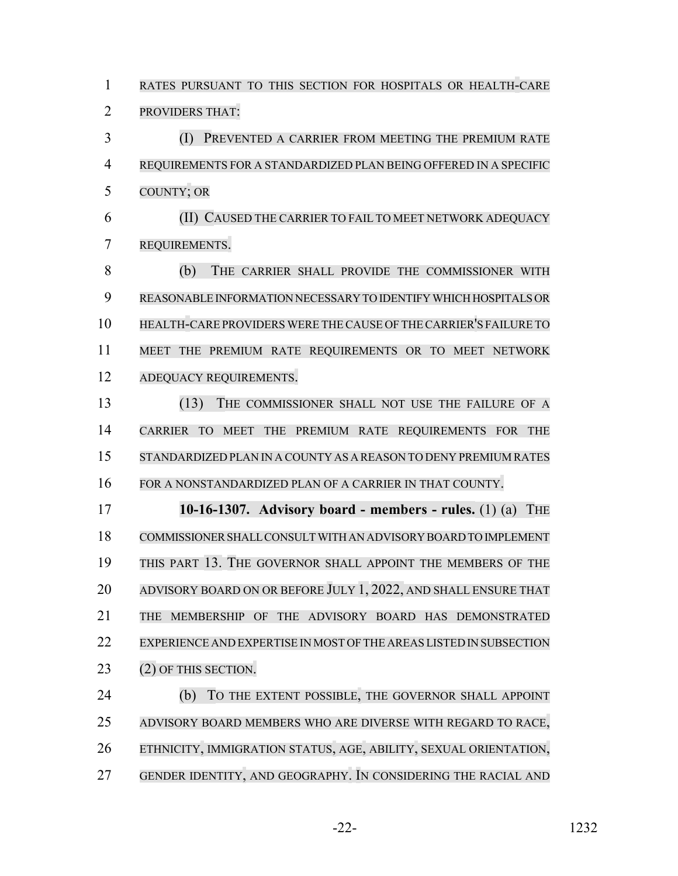RATES PURSUANT TO THIS SECTION FOR HOSPITALS OR HEALTH-CARE PROVIDERS THAT: (I) PREVENTED A CARRIER FROM MEETING THE PREMIUM RATE REQUIREMENTS FOR A STANDARDIZED PLAN BEING OFFERED IN A SPECIFIC COUNTY; OR (II) CAUSED THE CARRIER TO FAIL TO MEET NETWORK ADEQUACY REQUIREMENTS. (b) THE CARRIER SHALL PROVIDE THE COMMISSIONER WITH REASONABLE INFORMATION NECESSARY TO IDENTIFY WHICH HOSPITALS OR HEALTH-CARE PROVIDERS WERE THE CAUSE OF THECARRIER'S FAILURE TO MEET THE PREMIUM RATE REQUIREMENTS OR TO MEET NETWORK ADEQUACY REQUIREMENTS. (13) THE COMMISSIONER SHALL NOT USE THE FAILURE OF A CARRIER TO MEET THE PREMIUM RATE REQUIREMENTS FOR THE STANDARDIZED PLAN IN A COUNTY AS A REASON TO DENY PREMIUM RATES FOR A NONSTANDARDIZED PLAN OF A CARRIER IN THAT COUNTY. **10-16-1307. Advisory board - members - rules.** (1) (a) THE COMMISSIONER SHALL CONSULT WITH AN ADVISORY BOARD TO IMPLEMENT THIS PART 13. THE GOVERNOR SHALL APPOINT THE MEMBERS OF THE 20 ADVISORY BOARD ON OR BEFORE JULY 1, 2022, AND SHALL ENSURE THAT THE MEMBERSHIP OF THE ADVISORY BOARD HAS DEMONSTRATED EXPERIENCE AND EXPERTISE IN MOST OFTHE AREAS LISTED IN SUBSECTION 23 (2) OF THIS SECTION. (b) TO THE EXTENT POSSIBLE, THE GOVERNOR SHALL APPOINT ADVISORY BOARD MEMBERS WHO ARE DIVERSE WITH REGARD TO RACE, ETHNICITY, IMMIGRATION STATUS, AGE, ABILITY, SEXUAL ORIENTATION, GENDER IDENTITY, AND GEOGRAPHY. IN CONSIDERING THE RACIAL AND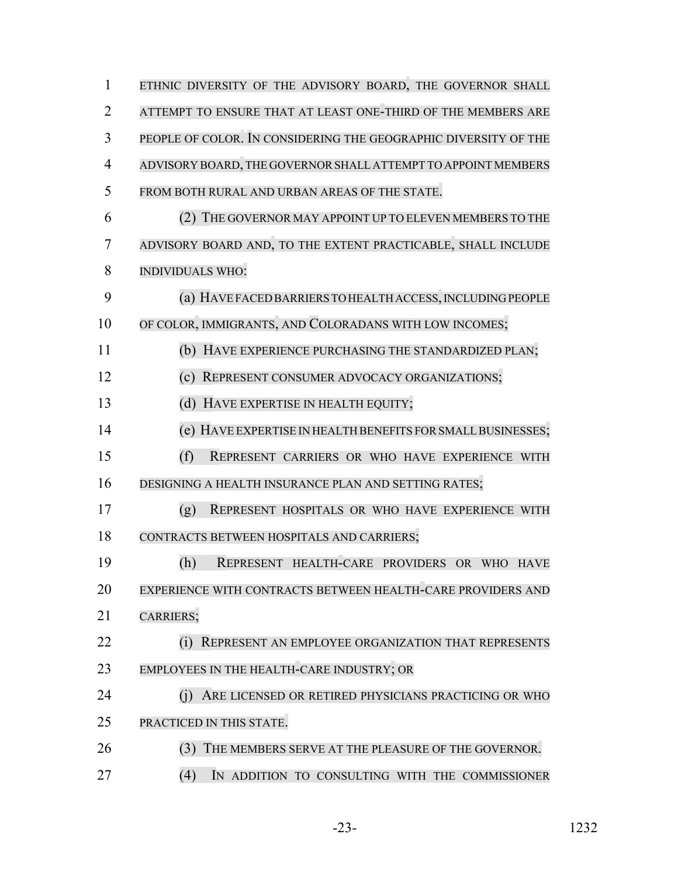| $\mathbf{1}$   | ETHNIC DIVERSITY OF THE ADVISORY BOARD, THE GOVERNOR SHALL      |
|----------------|-----------------------------------------------------------------|
| $\overline{2}$ | ATTEMPT TO ENSURE THAT AT LEAST ONE-THIRD OF THE MEMBERS ARE    |
| 3              | PEOPLE OF COLOR. IN CONSIDERING THE GEOGRAPHIC DIVERSITY OF THE |
| 4              | ADVISORY BOARD, THE GOVERNOR SHALL ATTEMPT TO APPOINT MEMBERS   |
| 5              | FROM BOTH RURAL AND URBAN AREAS OF THE STATE.                   |
| 6              | (2) THE GOVERNOR MAY APPOINT UP TO ELEVEN MEMBERS TO THE        |
| 7              | ADVISORY BOARD AND, TO THE EXTENT PRACTICABLE, SHALL INCLUDE    |
| 8              | <b>INDIVIDUALS WHO:</b>                                         |
| 9              | (a) HAVE FACED BARRIERS TO HEALTH ACCESS, INCLUDING PEOPLE      |
| 10             | OF COLOR, IMMIGRANTS, AND COLORADANS WITH LOW INCOMES;          |
| 11             | (b) HAVE EXPERIENCE PURCHASING THE STANDARDIZED PLAN;           |
| 12             | REPRESENT CONSUMER ADVOCACY ORGANIZATIONS;                      |
| 13             | (d) HAVE EXPERTISE IN HEALTH EQUITY;                            |
| 14             | (e) HAVE EXPERTISE IN HEALTH BENEFITS FOR SMALL BUSINESSES;     |
| 15             | (f)<br>REPRESENT CARRIERS OR WHO HAVE EXPERIENCE WITH           |
| 16             | DESIGNING A HEALTH INSURANCE PLAN AND SETTING RATES;            |
| 17             | (g)<br>REPRESENT HOSPITALS OR WHO HAVE EXPERIENCE WITH          |
| 18             | CONTRACTS BETWEEN HOSPITALS AND CARRIERS;                       |
| 19             | (h)<br>REPRESENT HEALTH-CARE PROVIDERS OR WHO HAVE              |
| 20             | EXPERIENCE WITH CONTRACTS BETWEEN HEALTH-CARE PROVIDERS AND     |
| 21             | CARRIERS;                                                       |
| 22             | (i)<br>REPRESENT AN EMPLOYEE ORGANIZATION THAT REPRESENTS       |
| 23             | EMPLOYEES IN THE HEALTH-CARE INDUSTRY; OR                       |
| 24             | (i)<br>ARE LICENSED OR RETIRED PHYSICIANS PRACTICING OR WHO     |
| 25             | PRACTICED IN THIS STATE.                                        |
| 26             | THE MEMBERS SERVE AT THE PLEASURE OF THE GOVERNOR.<br>(3)       |
| 27             | (4)<br>IN ADDITION TO CONSULTING WITH THE COMMISSIONER          |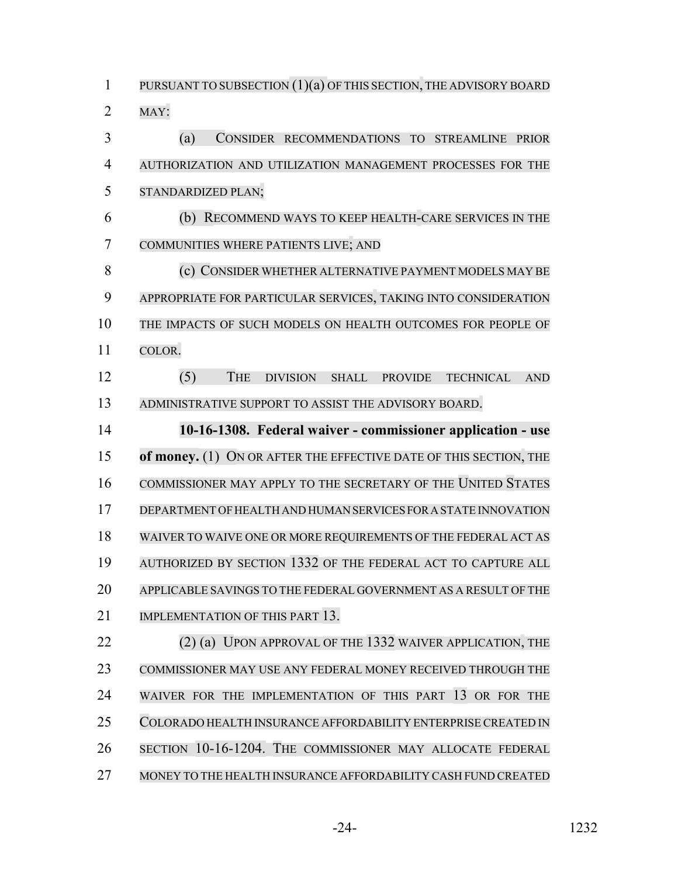PURSUANT TO SUBSECTION (1)(a) OF THIS SECTION, THE ADVISORY BOARD MAY: (a) CONSIDER RECOMMENDATIONS TO STREAMLINE PRIOR AUTHORIZATION AND UTILIZATION MANAGEMENT PROCESSES FOR THE STANDARDIZED PLAN; (b) RECOMMEND WAYS TO KEEP HEALTH-CARE SERVICES IN THE COMMUNITIES WHERE PATIENTS LIVE; AND (c) CONSIDER WHETHER ALTERNATIVE PAYMENT MODELS MAY BE APPROPRIATE FOR PARTICULAR SERVICES, TAKING INTO CONSIDERATION THE IMPACTS OF SUCH MODELS ON HEALTH OUTCOMES FOR PEOPLE OF COLOR. (5) THE DIVISION SHALL PROVIDE TECHNICAL AND ADMINISTRATIVE SUPPORT TO ASSIST THE ADVISORY BOARD. **10-16-1308. Federal waiver - commissioner application - use of money.** (1) ON OR AFTER THE EFFECTIVE DATE OF THIS SECTION, THE COMMISSIONER MAY APPLY TO THE SECRETARY OF THE UNITED STATES DEPARTMENT OFHEALTH AND HUMAN SERVICES FOR A STATE INNOVATION WAIVER TO WAIVE ONE OR MORE REQUIREMENTS OF THE FEDERAL ACT AS AUTHORIZED BY SECTION 1332 OF THE FEDERAL ACT TO CAPTURE ALL APPLICABLE SAVINGS TO THE FEDERAL GOVERNMENT AS A RESULT OF THE 21 IMPLEMENTATION OF THIS PART 13. 22 (2) (a) UPON APPROVAL OF THE 1332 WAIVER APPLICATION, THE COMMISSIONER MAY USE ANY FEDERAL MONEY RECEIVED THROUGH THE WAIVER FOR THE IMPLEMENTATION OF THIS PART 13 OR FOR THE COLORADO HEALTH INSURANCE AFFORDABILITY ENTERPRISE CREATED IN SECTION 10-16-1204. THE COMMISSIONER MAY ALLOCATE FEDERAL MONEY TO THE HEALTH INSURANCE AFFORDABILITY CASH FUND CREATED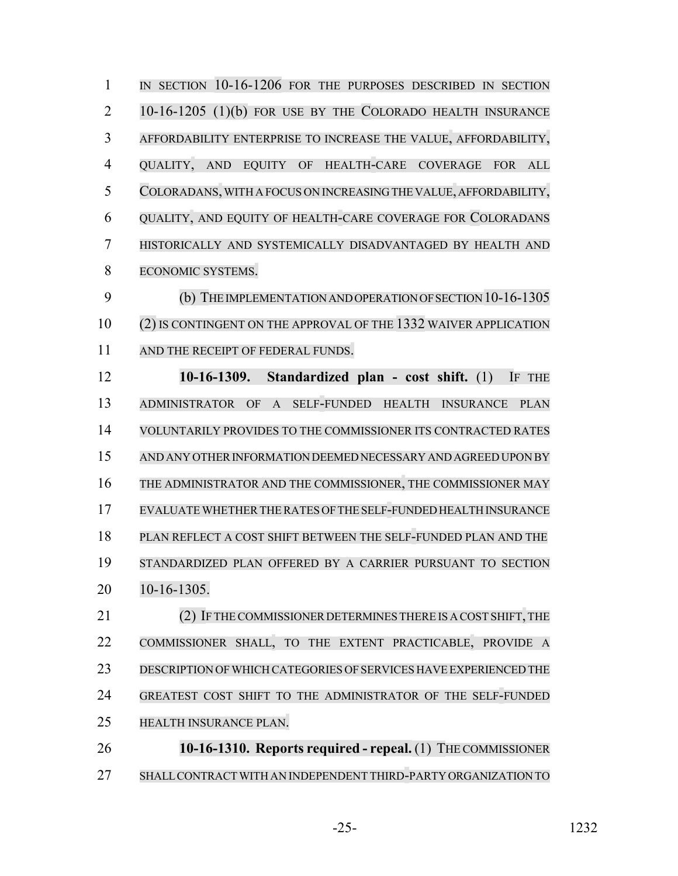1 IN SECTION 10-16-1206 FOR THE PURPOSES DESCRIBED IN SECTION 10-16-1205 (1)(b) FOR USE BY THE COLORADO HEALTH INSURANCE AFFORDABILITY ENTERPRISE TO INCREASE THE VALUE, AFFORDABILITY, QUALITY, AND EQUITY OF HEALTH-CARE COVERAGE FOR ALL COLORADANS,WITH A FOCUS ON INCREASING THE VALUE, AFFORDABILITY, QUALITY, AND EQUITY OF HEALTH-CARE COVERAGE FOR COLORADANS HISTORICALLY AND SYSTEMICALLY DISADVANTAGED BY HEALTH AND ECONOMIC SYSTEMS. (b) THE IMPLEMENTATION AND OPERATION OF SECTION 10-16-1305 (2) IS CONTINGENT ON THE APPROVAL OF THE 1332 WAIVER APPLICATION 11 AND THE RECEIPT OF FEDERAL FUNDS. **10-16-1309. Standardized plan - cost shift.** (1) IF THE ADMINISTRATOR OF A SELF-FUNDED HEALTH INSURANCE PLAN VOLUNTARILY PROVIDES TO THE COMMISSIONER ITS CONTRACTED RATES AND ANY OTHER INFORMATION DEEMED NECESSARY AND AGREED UPON BY THE ADMINISTRATOR AND THE COMMISSIONER, THE COMMISSIONER MAY EVALUATEWHETHERTHERATES OF THE SELF-FUNDED HEALTH INSURANCE PLAN REFLECT A COST SHIFT BETWEEN THE SELF-FUNDED PLAN AND THE STANDARDIZED PLAN OFFERED BY A CARRIER PURSUANT TO SECTION 10-16-1305. 21 (2) IF THE COMMISSIONER DETERMINES THERE IS A COST SHIFT, THE COMMISSIONER SHALL, TO THE EXTENT PRACTICABLE, PROVIDE A DESCRIPTION OFWHICH CATEGORIES OF SERVICES HAVE EXPERIENCED THE GREATEST COST SHIFT TO THE ADMINISTRATOR OF THE SELF-FUNDED HEALTH INSURANCE PLAN.

 **10-16-1310. Reports required - repeal.** (1) THE COMMISSIONER SHALL CONTRACT WITH AN INDEPENDENT THIRD-PARTY ORGANIZATION TO

-25- 1232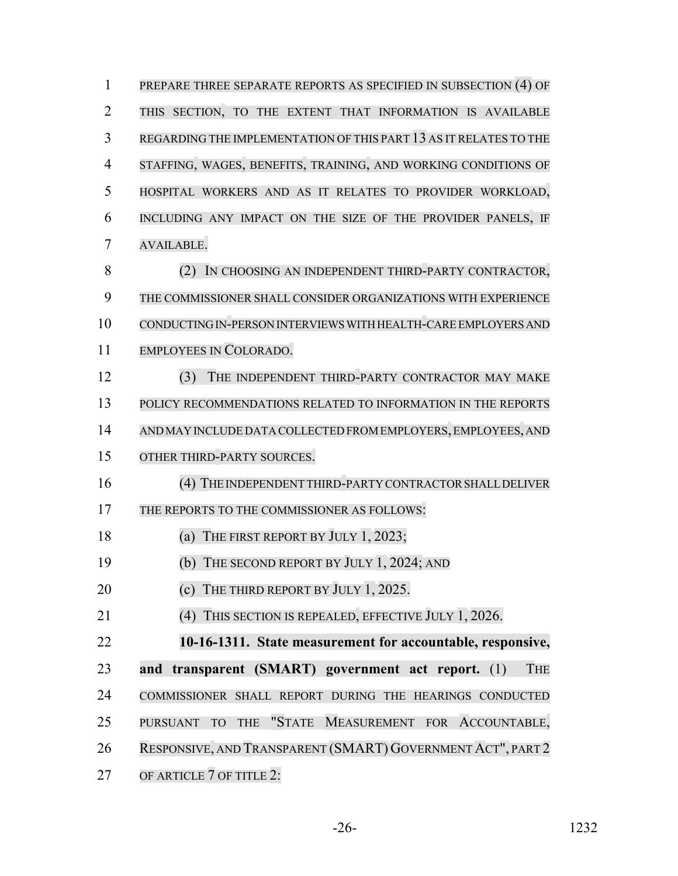| $\mathbf{1}$   | PREPARE THREE SEPARATE REPORTS AS SPECIFIED IN SUBSECTION (4) OF                  |
|----------------|-----------------------------------------------------------------------------------|
| $\overline{2}$ | THIS SECTION, TO THE EXTENT THAT INFORMATION IS AVAILABLE                         |
| 3              | REGARDING THE IMPLEMENTATION OF THIS PART 13 AS IT RELATES TO THE                 |
| $\overline{4}$ | STAFFING, WAGES, BENEFITS, TRAINING, AND WORKING CONDITIONS OF                    |
| 5              | HOSPITAL WORKERS AND AS IT RELATES TO PROVIDER WORKLOAD,                          |
| 6              | INCLUDING ANY IMPACT ON THE SIZE OF THE PROVIDER PANELS, IF                       |
| 7              | AVAILABLE.                                                                        |
| 8              | IN CHOOSING AN INDEPENDENT THIRD-PARTY CONTRACTOR,<br>(2)                         |
| 9              | THE COMMISSIONER SHALL CONSIDER ORGANIZATIONS WITH EXPERIENCE                     |
| 10             | CONDUCTING IN-PERSON INTERVIEWS WITH HEALTH-CARE EMPLOYERS AND                    |
| 11             | EMPLOYEES IN COLORADO.                                                            |
| 12             | (3)<br>THE INDEPENDENT THIRD-PARTY CONTRACTOR MAY MAKE                            |
| 13             | POLICY RECOMMENDATIONS RELATED TO INFORMATION IN THE REPORTS                      |
| 14             | AND MAY INCLUDE DATA COLLECTED FROM EMPLOYERS, EMPLOYEES, AND                     |
| 15             | OTHER THIRD-PARTY SOURCES.                                                        |
| 16             | (4) THE INDEPENDENT THIRD-PARTY CONTRACTOR SHALL DELIVER                          |
| 17             | THE REPORTS TO THE COMMISSIONER AS FOLLOWS:                                       |
| 18             | (a) THE FIRST REPORT BY JULY $1, 2023$ ;                                          |
| 19             | (b) THE SECOND REPORT BY JULY 1, 2024; AND                                        |
| 20             | (c) THE THIRD REPORT BY JULY $1, 2025$ .                                          |
| 21             | (4) THIS SECTION IS REPEALED, EFFECTIVE JULY 1, 2026.                             |
| 22             | 10-16-1311. State measurement for accountable, responsive,                        |
| 23             | and transparent (SMART) government act report. (1)<br><b>THE</b>                  |
| 24             | COMMISSIONER SHALL REPORT DURING THE HEARINGS CONDUCTED                           |
| 25             | "STATE MEASUREMENT FOR ACCOUNTABLE,<br><b>PURSUANT</b><br><b>THE</b><br><b>TO</b> |
| 26             | RESPONSIVE, AND TRANSPARENT (SMART) GOVERNMENT ACT", PART 2                       |
| 27             | OF ARTICLE 7 OF TITLE 2:                                                          |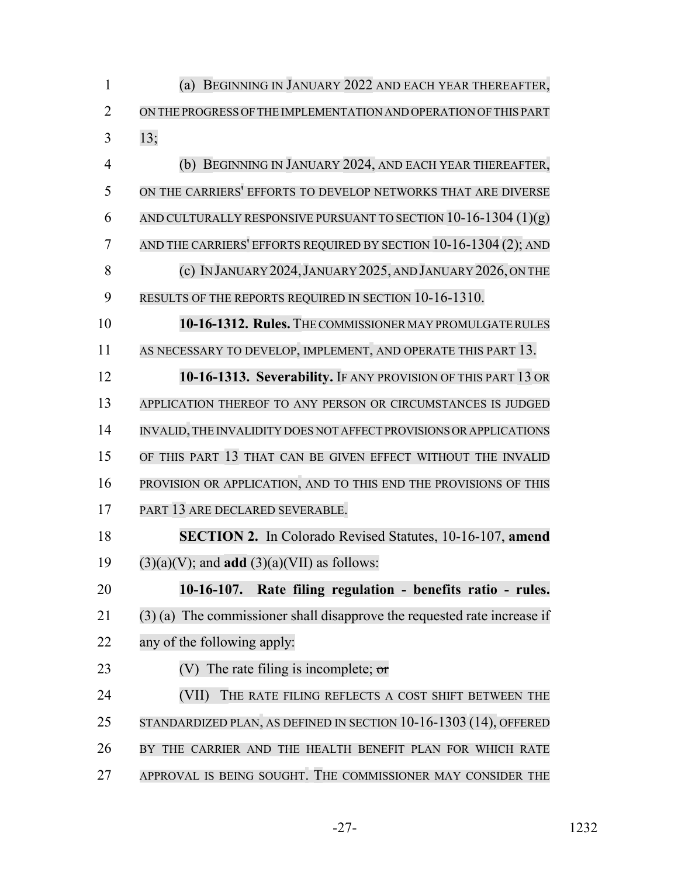| $\mathbf{1}$   | BEGINNING IN JANUARY 2022 AND EACH YEAR THEREAFTER,<br>(a)                 |
|----------------|----------------------------------------------------------------------------|
| $\overline{2}$ | ON THE PROGRESS OF THE IMPLEMENTATION AND OPERATION OF THIS PART           |
| 3              | 13;                                                                        |
| $\overline{4}$ | (b) BEGINNING IN JANUARY 2024, AND EACH YEAR THEREAFTER,                   |
| 5              | ON THE CARRIERS' EFFORTS TO DEVELOP NETWORKS THAT ARE DIVERSE              |
| 6              | AND CULTURALLY RESPONSIVE PURSUANT TO SECTION $10-16-1304(1)(g)$           |
| 7              | AND THE CARRIERS' EFFORTS REQUIRED BY SECTION 10-16-1304 (2); AND          |
| 8              | (c) IN JANUARY 2024, JANUARY 2025, AND JANUARY 2026, ON THE                |
| 9              | RESULTS OF THE REPORTS REQUIRED IN SECTION 10-16-1310.                     |
| 10             | 10-16-1312. Rules. THE COMMISSIONER MAY PROMULGATE RULES                   |
| 11             | AS NECESSARY TO DEVELOP, IMPLEMENT, AND OPERATE THIS PART 13.              |
| 12             | 10-16-1313. Severability. IF ANY PROVISION OF THIS PART 13 OR              |
| 13             | APPLICATION THEREOF TO ANY PERSON OR CIRCUMSTANCES IS JUDGED               |
| 14             | INVALID, THE INVALIDITY DOES NOT AFFECT PROVISIONS OR APPLICATIONS         |
| 15             | OF THIS PART 13 THAT CAN BE GIVEN EFFECT WITHOUT THE INVALID               |
| 16             | PROVISION OR APPLICATION, AND TO THIS END THE PROVISIONS OF THIS           |
| 17             | PART 13 ARE DECLARED SEVERABLE.                                            |
| 18             | SECTION 2. In Colorado Revised Statutes, 10-16-107, amend                  |
| 19             | $(3)(a)(V)$ ; and <b>add</b> $(3)(a)(VII)$ as follows:                     |
| 20             | Rate filing regulation - benefits ratio - rules.<br>$10-16-107.$           |
| 21             | $(3)$ (a) The commissioner shall disapprove the requested rate increase if |
| 22             | any of the following apply:                                                |
| 23             | (V) The rate filing is incomplete; $\sigma r$                              |
| 24             | (VII)<br>THE RATE FILING REFLECTS A COST SHIFT BETWEEN THE                 |
| 25             | STANDARDIZED PLAN, AS DEFINED IN SECTION 10-16-1303 (14), OFFERED          |
| 26             | BY THE CARRIER AND THE HEALTH BENEFIT PLAN FOR WHICH RATE                  |
| 27             | APPROVAL IS BEING SOUGHT. THE COMMISSIONER MAY CONSIDER THE                |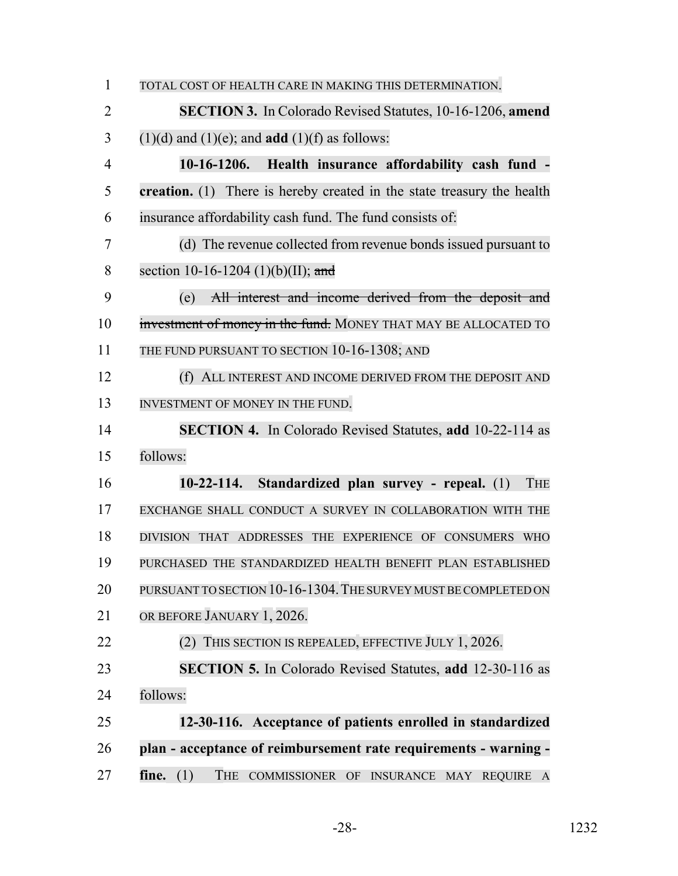| $\mathbf{1}$   | TOTAL COST OF HEALTH CARE IN MAKING THIS DETERMINATION.                 |
|----------------|-------------------------------------------------------------------------|
| $\overline{2}$ | <b>SECTION 3.</b> In Colorado Revised Statutes, 10-16-1206, amend       |
| 3              | $(1)(d)$ and $(1)(e)$ ; and <b>add</b> $(1)(f)$ as follows:             |
| $\overline{4}$ | 10-16-1206. Health insurance affordability cash fund -                  |
| 5              | creation. (1) There is hereby created in the state treasury the health  |
| 6              | insurance affordability cash fund. The fund consists of:                |
| 7              | (d) The revenue collected from revenue bonds issued pursuant to         |
| 8              | section 10-16-1204 (1)(b)(II); and                                      |
| 9              | All interest and income derived from the deposit and<br>(e)             |
| 10             | investment of money in the fund. MONEY THAT MAY BE ALLOCATED TO         |
| 11             | THE FUND PURSUANT TO SECTION 10-16-1308; AND                            |
| 12             | (f) ALL INTEREST AND INCOME DERIVED FROM THE DEPOSIT AND                |
| 13             | INVESTMENT OF MONEY IN THE FUND.                                        |
| 14             | <b>SECTION 4.</b> In Colorado Revised Statutes, add 10-22-114 as        |
| 15             | follows:                                                                |
| 16             | Standardized plan survey - repeal. (1)<br>$10-22-114.$<br><b>THE</b>    |
| 17             | EXCHANGE SHALL CONDUCT A SURVEY IN COLLABORATION WITH THE               |
| 18             | DIVISION THAT ADDRESSES THE EXPERIENCE OF CONSUMERS WHO                 |
| 19             | PURCHASED THE STANDARDIZED HEALTH BENEFIT PLAN ESTABLISHED              |
| 20             | PURSUANT TO SECTION 10-16-1304. THE SURVEY MUST BE COMPLETED ON         |
| 21             | OR BEFORE JANUARY 1, 2026.                                              |
| 22             | (2) THIS SECTION IS REPEALED, EFFECTIVE JULY 1, 2026.                   |
| 23             | SECTION 5. In Colorado Revised Statutes, add 12-30-116 as               |
| 24             | follows:                                                                |
| 25             | 12-30-116. Acceptance of patients enrolled in standardized              |
| 26             | plan - acceptance of reimbursement rate requirements - warning -        |
| 27             | fine. $(1)$<br><b>THE</b><br>COMMISSIONER OF INSURANCE MAY<br>REQUIRE A |

-28- 1232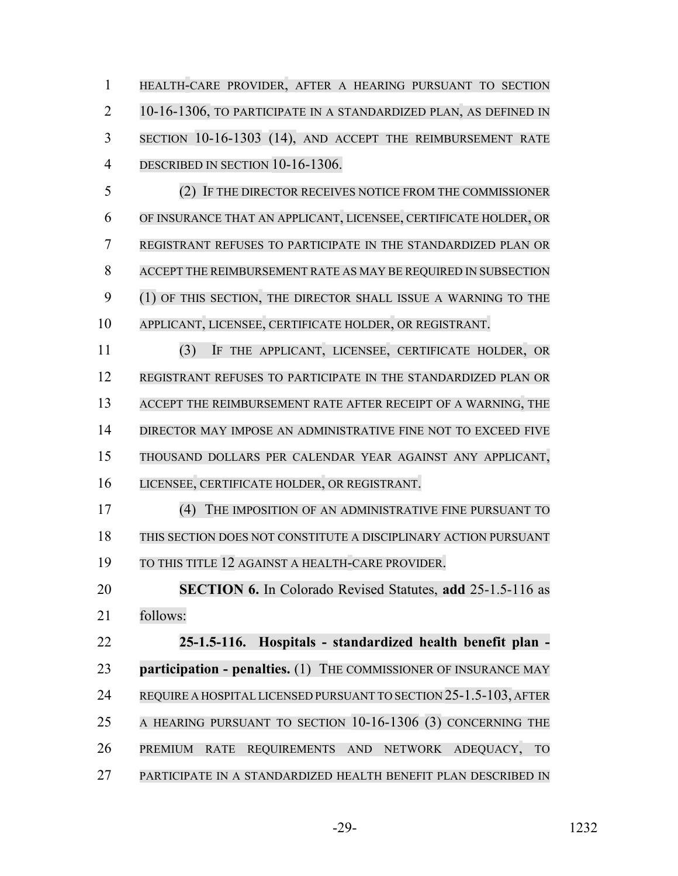HEALTH-CARE PROVIDER, AFTER A HEARING PURSUANT TO SECTION 10-16-1306, TO PARTICIPATE IN A STANDARDIZED PLAN, AS DEFINED IN SECTION 10-16-1303 (14), AND ACCEPT THE REIMBURSEMENT RATE DESCRIBED IN SECTION 10-16-1306.

 (2) IF THE DIRECTOR RECEIVES NOTICE FROM THE COMMISSIONER OF INSURANCE THAT AN APPLICANT, LICENSEE, CERTIFICATE HOLDER, OR REGISTRANT REFUSES TO PARTICIPATE IN THE STANDARDIZED PLAN OR ACCEPT THE REIMBURSEMENT RATE AS MAY BE REQUIRED IN SUBSECTION (1) OF THIS SECTION, THE DIRECTOR SHALL ISSUE A WARNING TO THE APPLICANT, LICENSEE, CERTIFICATE HOLDER, OR REGISTRANT.

 (3) IF THE APPLICANT, LICENSEE, CERTIFICATE HOLDER, OR REGISTRANT REFUSES TO PARTICIPATE IN THE STANDARDIZED PLAN OR ACCEPT THE REIMBURSEMENT RATE AFTER RECEIPT OF A WARNING, THE DIRECTOR MAY IMPOSE AN ADMINISTRATIVE FINE NOT TO EXCEED FIVE THOUSAND DOLLARS PER CALENDAR YEAR AGAINST ANY APPLICANT, LICENSEE, CERTIFICATE HOLDER, OR REGISTRANT.

 (4) THE IMPOSITION OF AN ADMINISTRATIVE FINE PURSUANT TO THIS SECTION DOES NOT CONSTITUTE A DISCIPLINARY ACTION PURSUANT TO THIS TITLE 12 AGAINST A HEALTH-CARE PROVIDER.

 **SECTION 6.** In Colorado Revised Statutes, **add** 25-1.5-116 as follows:

 **25-1.5-116. Hospitals - standardized health benefit plan - participation - penalties.** (1) THE COMMISSIONER OF INSURANCE MAY REQUIRE A HOSPITAL LICENSED PURSUANT TO SECTION 25-1.5-103, AFTER 25 A HEARING PURSUANT TO SECTION 10-16-1306 (3) CONCERNING THE PREMIUM RATE REQUIREMENTS AND NETWORK ADEQUACY, TO PARTICIPATE IN A STANDARDIZED HEALTH BENEFIT PLAN DESCRIBED IN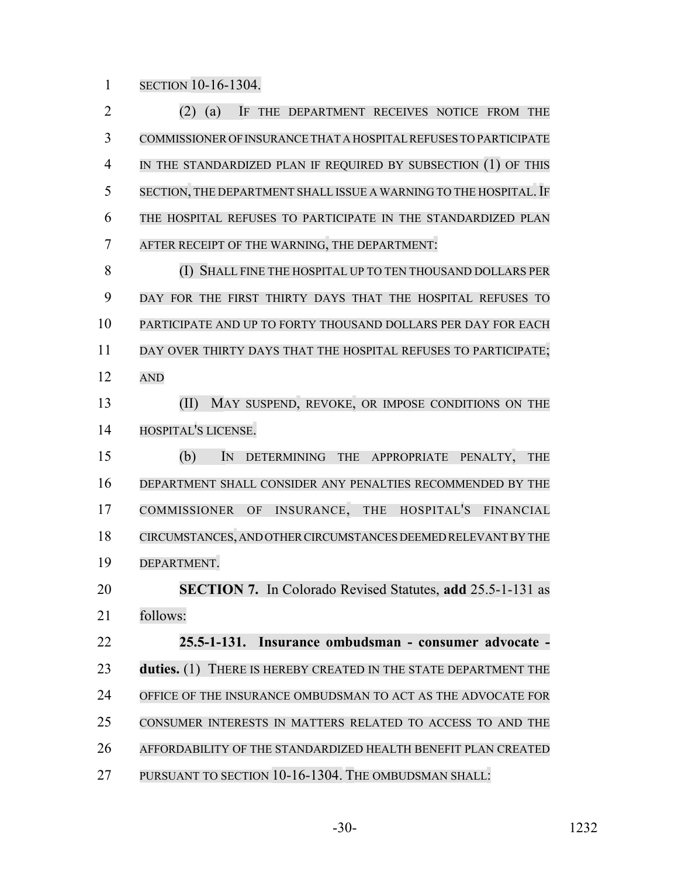SECTION 10-16-1304.

 (2) (a) IF THE DEPARTMENT RECEIVES NOTICE FROM THE COMMISSIONER OF INSURANCE THAT A HOSPITAL REFUSES TO PARTICIPATE IN THE STANDARDIZED PLAN IF REQUIRED BY SUBSECTION (1) OF THIS 5 SECTION, THE DEPARTMENT SHALL ISSUE A WARNING TO THE HOSPITAL. IF THE HOSPITAL REFUSES TO PARTICIPATE IN THE STANDARDIZED PLAN AFTER RECEIPT OF THE WARNING, THE DEPARTMENT: (I) SHALL FINE THE HOSPITAL UP TO TEN THOUSAND DOLLARS PER DAY FOR THE FIRST THIRTY DAYS THAT THE HOSPITAL REFUSES TO PARTICIPATE AND UP TO FORTY THOUSAND DOLLARS PER DAY FOR EACH 11 DAY OVER THIRTY DAYS THAT THE HOSPITAL REFUSES TO PARTICIPATE; AND 13 (II) MAY SUSPEND, REVOKE, OR IMPOSE CONDITIONS ON THE HOSPITAL'S LICENSE. (b) IN DETERMINING THE APPROPRIATE PENALTY, THE DEPARTMENT SHALL CONSIDER ANY PENALTIES RECOMMENDED BY THE COMMISSIONER OF INSURANCE, THE HOSPITAL'S FINANCIAL CIRCUMSTANCES, AND OTHER CIRCUMSTANCES DEEMED RELEVANT BY THE DEPARTMENT. **SECTION 7.** In Colorado Revised Statutes, **add** 25.5-1-131 as follows: **25.5-1-131. Insurance ombudsman - consumer advocate - duties.** (1) THERE IS HEREBY CREATED IN THE STATE DEPARTMENT THE OFFICE OF THE INSURANCE OMBUDSMAN TO ACT AS THE ADVOCATE FOR CONSUMER INTERESTS IN MATTERS RELATED TO ACCESS TO AND THE AFFORDABILITY OF THE STANDARDIZED HEALTH BENEFIT PLAN CREATED PURSUANT TO SECTION 10-16-1304. THE OMBUDSMAN SHALL: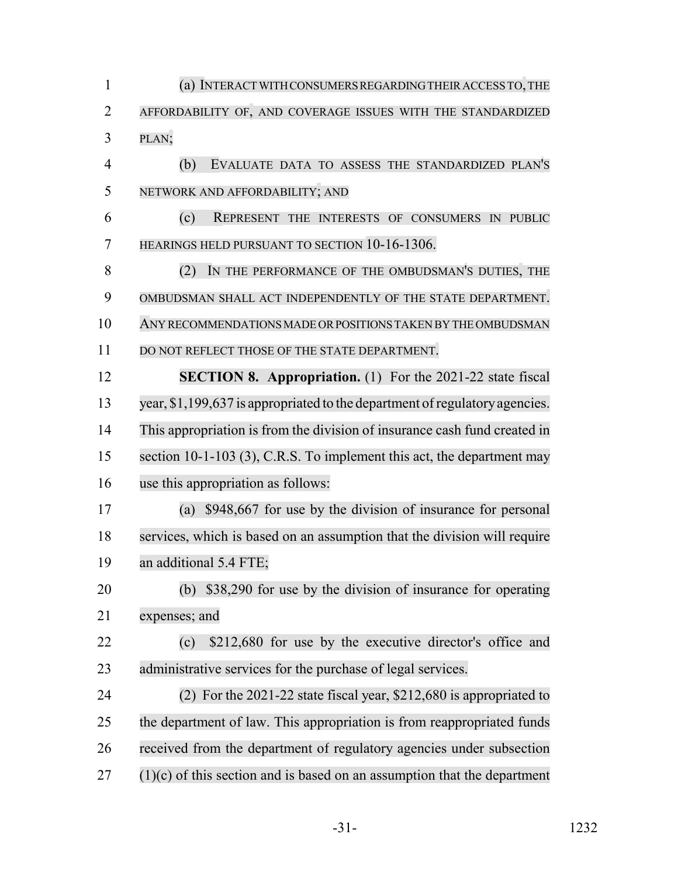(a) INTERACT WITH CONSUMERS REGARDING THEIR ACCESS TO,THE AFFORDABILITY OF, AND COVERAGE ISSUES WITH THE STANDARDIZED PLAN; (b) EVALUATE DATA TO ASSESS THE STANDARDIZED PLAN'S NETWORK AND AFFORDABILITY; AND (c) REPRESENT THE INTERESTS OF CONSUMERS IN PUBLIC HEARINGS HELD PURSUANT TO SECTION 10-16-1306. (2) IN THE PERFORMANCE OF THE OMBUDSMAN'S DUTIES, THE OMBUDSMAN SHALL ACT INDEPENDENTLY OF THE STATE DEPARTMENT. ANY RECOMMENDATIONS MADE OR POSITIONS TAKEN BY THE OMBUDSMAN 11 DO NOT REFLECT THOSE OF THE STATE DEPARTMENT. **SECTION 8. Appropriation.** (1) For the 2021-22 state fiscal 13 year, \$1,199,637 is appropriated to the department of regulatory agencies. This appropriation is from the division of insurance cash fund created in 15 section 10-1-103 (3), C.R.S. To implement this act, the department may use this appropriation as follows: (a) \$948,667 for use by the division of insurance for personal services, which is based on an assumption that the division will require an additional 5.4 FTE; (b) \$38,290 for use by the division of insurance for operating expenses; and (c) \$212,680 for use by the executive director's office and administrative services for the purchase of legal services. (2) For the 2021-22 state fiscal year, \$212,680 is appropriated to the department of law. This appropriation is from reappropriated funds received from the department of regulatory agencies under subsection (1)(c) of this section and is based on an assumption that the department